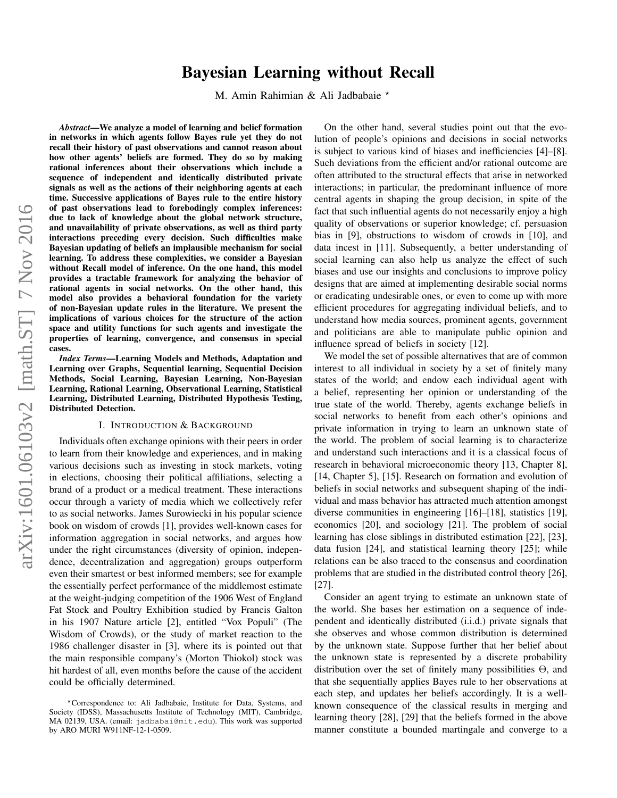# Bayesian Learning without Recall

M. Amin Rahimian & Ali Jadbabaie \*

*Abstract*—We analyze a model of learning and belief formation in networks in which agents follow Bayes rule yet they do not recall their history of past observations and cannot reason about how other agents' beliefs are formed. They do so by making rational inferences about their observations which include a sequence of independent and identically distributed private signals as well as the actions of their neighboring agents at each time. Successive applications of Bayes rule to the entire history of past observations lead to forebodingly complex inferences: due to lack of knowledge about the global network structure, and unavailability of private observations, as well as third party interactions preceding every decision. Such difficulties make Bayesian updating of beliefs an implausible mechanism for social learning. To address these complexities, we consider a Bayesian without Recall model of inference. On the one hand, this model provides a tractable framework for analyzing the behavior of rational agents in social networks. On the other hand, this model also provides a behavioral foundation for the variety of non-Bayesian update rules in the literature. We present the implications of various choices for the structure of the action space and utility functions for such agents and investigate the properties of learning, convergence, and consensus in special cases.

*Index Terms*—Learning Models and Methods, Adaptation and Learning over Graphs, Sequential learning, Sequential Decision Methods, Social Learning, Bayesian Learning, Non-Bayesian Learning, Rational Learning, Observational Learning, Statistical Learning, Distributed Learning, Distributed Hypothesis Testing, Distributed Detection.

## I. INTRODUCTION & BACKGROUND

Individuals often exchange opinions with their peers in order to learn from their knowledge and experiences, and in making various decisions such as investing in stock markets, voting in elections, choosing their political affiliations, selecting a brand of a product or a medical treatment. These interactions occur through a variety of media which we collectively refer to as social networks. James Surowiecki in his popular science book on wisdom of crowds [1], provides well-known cases for information aggregation in social networks, and argues how under the right circumstances (diversity of opinion, independence, decentralization and aggregation) groups outperform even their smartest or best informed members; see for example the essentially perfect performance of the middlemost estimate at the weight-judging competition of the 1906 West of England Fat Stock and Poultry Exhibition studied by Francis Galton in his 1907 Nature article [2], entitled "Vox Populi" (The Wisdom of Crowds), or the study of market reaction to the 1986 challenger disaster in [3], where its is pointed out that the main responsible company's (Morton Thiokol) stock was hit hardest of all, even months before the cause of the accident could be officially determined.

On the other hand, several studies point out that the evolution of people's opinions and decisions in social networks is subject to various kind of biases and inefficiencies [4]–[8]. Such deviations from the efficient and/or rational outcome are often attributed to the structural effects that arise in networked interactions; in particular, the predominant influence of more central agents in shaping the group decision, in spite of the fact that such influential agents do not necessarily enjoy a high quality of observations or superior knowledge; cf. persuasion bias in [9], obstructions to wisdom of crowds in [10], and data incest in [11]. Subsequently, a better understanding of social learning can also help us analyze the effect of such biases and use our insights and conclusions to improve policy designs that are aimed at implementing desirable social norms or eradicating undesirable ones, or even to come up with more efficient procedures for aggregating individual beliefs, and to understand how media sources, prominent agents, government and politicians are able to manipulate public opinion and influence spread of beliefs in society [12].

We model the set of possible alternatives that are of common interest to all individual in society by a set of finitely many states of the world; and endow each individual agent with a belief, representing her opinion or understanding of the true state of the world. Thereby, agents exchange beliefs in social networks to benefit from each other's opinions and private information in trying to learn an unknown state of the world. The problem of social learning is to characterize and understand such interactions and it is a classical focus of research in behavioral microeconomic theory [13, Chapter 8], [14, Chapter 5], [15]. Research on formation and evolution of beliefs in social networks and subsequent shaping of the individual and mass behavior has attracted much attention amongst diverse communities in engineering [16]–[18], statistics [19], economics [20], and sociology [21]. The problem of social learning has close siblings in distributed estimation [22], [23], data fusion [24], and statistical learning theory [25]; while relations can be also traced to the consensus and coordination problems that are studied in the distributed control theory [26], [27].

Consider an agent trying to estimate an unknown state of the world. She bases her estimation on a sequence of independent and identically distributed (i.i.d.) private signals that she observes and whose common distribution is determined by the unknown state. Suppose further that her belief about the unknown state is represented by a discrete probability distribution over the set of finitely many possibilities Θ, and that she sequentially applies Bayes rule to her observations at each step, and updates her beliefs accordingly. It is a wellknown consequence of the classical results in merging and learning theory [28], [29] that the beliefs formed in the above manner constitute a bounded martingale and converge to a

<sup>?</sup>Correspondence to: Ali Jadbabaie, Institute for Data, Systems, and Society (IDSS), Massachusetts Institute of Technology (MIT), Cambridge, MA 02139, USA. (email: jadbabai@mit.edu). This work was supported by ARO MURI W911NF-12-1-0509.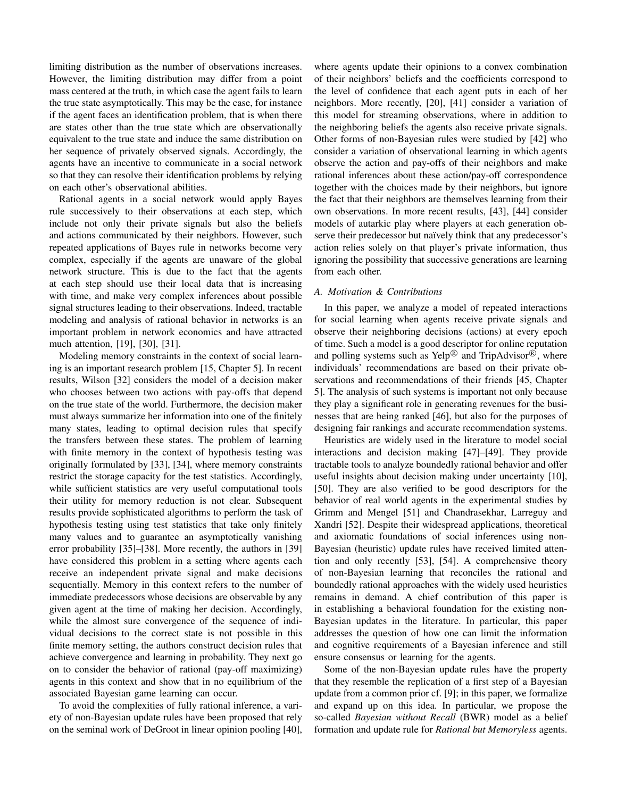limiting distribution as the number of observations increases. However, the limiting distribution may differ from a point mass centered at the truth, in which case the agent fails to learn the true state asymptotically. This may be the case, for instance if the agent faces an identification problem, that is when there are states other than the true state which are observationally equivalent to the true state and induce the same distribution on her sequence of privately observed signals. Accordingly, the agents have an incentive to communicate in a social network so that they can resolve their identification problems by relying on each other's observational abilities.

Rational agents in a social network would apply Bayes rule successively to their observations at each step, which include not only their private signals but also the beliefs and actions communicated by their neighbors. However, such repeated applications of Bayes rule in networks become very complex, especially if the agents are unaware of the global network structure. This is due to the fact that the agents at each step should use their local data that is increasing with time, and make very complex inferences about possible signal structures leading to their observations. Indeed, tractable modeling and analysis of rational behavior in networks is an important problem in network economics and have attracted much attention, [19], [30], [31].

Modeling memory constraints in the context of social learning is an important research problem [15, Chapter 5]. In recent results, Wilson [32] considers the model of a decision maker who chooses between two actions with pay-offs that depend on the true state of the world. Furthermore, the decision maker must always summarize her information into one of the finitely many states, leading to optimal decision rules that specify the transfers between these states. The problem of learning with finite memory in the context of hypothesis testing was originally formulated by [33], [34], where memory constraints restrict the storage capacity for the test statistics. Accordingly, while sufficient statistics are very useful computational tools their utility for memory reduction is not clear. Subsequent results provide sophisticated algorithms to perform the task of hypothesis testing using test statistics that take only finitely many values and to guarantee an asymptotically vanishing error probability [35]–[38]. More recently, the authors in [39] have considered this problem in a setting where agents each receive an independent private signal and make decisions sequentially. Memory in this context refers to the number of immediate predecessors whose decisions are observable by any given agent at the time of making her decision. Accordingly, while the almost sure convergence of the sequence of individual decisions to the correct state is not possible in this finite memory setting, the authors construct decision rules that achieve convergence and learning in probability. They next go on to consider the behavior of rational (pay-off maximizing) agents in this context and show that in no equilibrium of the associated Bayesian game learning can occur.

To avoid the complexities of fully rational inference, a variety of non-Bayesian update rules have been proposed that rely on the seminal work of DeGroot in linear opinion pooling [40],

where agents update their opinions to a convex combination of their neighbors' beliefs and the coefficients correspond to the level of confidence that each agent puts in each of her neighbors. More recently, [20], [41] consider a variation of this model for streaming observations, where in addition to the neighboring beliefs the agents also receive private signals. Other forms of non-Bayesian rules were studied by [42] who consider a variation of observational learning in which agents observe the action and pay-offs of their neighbors and make rational inferences about these action/pay-off correspondence together with the choices made by their neighbors, but ignore the fact that their neighbors are themselves learning from their own observations. In more recent results, [43], [44] consider models of autarkic play where players at each generation observe their predecessor but naïvely think that any predecessor's action relies solely on that player's private information, thus ignoring the possibility that successive generations are learning from each other.

## *A. Motivation & Contributions*

In this paper, we analyze a model of repeated interactions for social learning when agents receive private signals and observe their neighboring decisions (actions) at every epoch of time. Such a model is a good descriptor for online reputation and polling systems such as Yelp<sup>®</sup> and TripAdvisor<sup>®</sup>, where individuals' recommendations are based on their private observations and recommendations of their friends [45, Chapter 5]. The analysis of such systems is important not only because they play a significant role in generating revenues for the businesses that are being ranked [46], but also for the purposes of designing fair rankings and accurate recommendation systems.

Heuristics are widely used in the literature to model social interactions and decision making [47]–[49]. They provide tractable tools to analyze boundedly rational behavior and offer useful insights about decision making under uncertainty [10], [50]. They are also verified to be good descriptors for the behavior of real world agents in the experimental studies by Grimm and Mengel [51] and Chandrasekhar, Larreguy and Xandri [52]. Despite their widespread applications, theoretical and axiomatic foundations of social inferences using non-Bayesian (heuristic) update rules have received limited attention and only recently [53], [54]. A comprehensive theory of non-Bayesian learning that reconciles the rational and boundedly rational approaches with the widely used heuristics remains in demand. A chief contribution of this paper is in establishing a behavioral foundation for the existing non-Bayesian updates in the literature. In particular, this paper addresses the question of how one can limit the information and cognitive requirements of a Bayesian inference and still ensure consensus or learning for the agents.

Some of the non-Bayesian update rules have the property that they resemble the replication of a first step of a Bayesian update from a common prior cf. [9]; in this paper, we formalize and expand up on this idea. In particular, we propose the so-called *Bayesian without Recall* (BWR) model as a belief formation and update rule for *Rational but Memoryless* agents.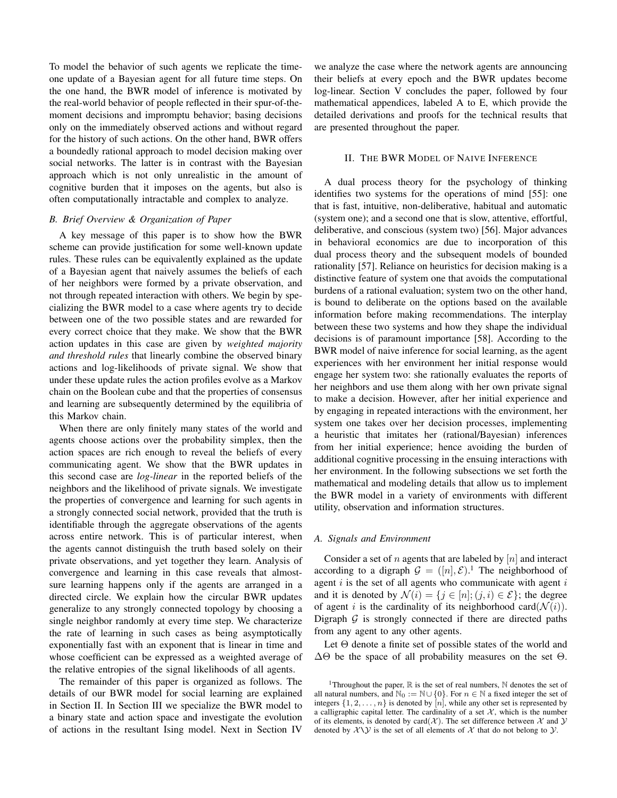To model the behavior of such agents we replicate the timeone update of a Bayesian agent for all future time steps. On the one hand, the BWR model of inference is motivated by the real-world behavior of people reflected in their spur-of-themoment decisions and impromptu behavior; basing decisions only on the immediately observed actions and without regard for the history of such actions. On the other hand, BWR offers a boundedly rational approach to model decision making over social networks. The latter is in contrast with the Bayesian approach which is not only unrealistic in the amount of cognitive burden that it imposes on the agents, but also is often computationally intractable and complex to analyze.

## *B. Brief Overview & Organization of Paper*

A key message of this paper is to show how the BWR scheme can provide justification for some well-known update rules. These rules can be equivalently explained as the update of a Bayesian agent that naively assumes the beliefs of each of her neighbors were formed by a private observation, and not through repeated interaction with others. We begin by specializing the BWR model to a case where agents try to decide between one of the two possible states and are rewarded for every correct choice that they make. We show that the BWR action updates in this case are given by *weighted majority and threshold rules* that linearly combine the observed binary actions and log-likelihoods of private signal. We show that under these update rules the action profiles evolve as a Markov chain on the Boolean cube and that the properties of consensus and learning are subsequently determined by the equilibria of this Markov chain.

When there are only finitely many states of the world and agents choose actions over the probability simplex, then the action spaces are rich enough to reveal the beliefs of every communicating agent. We show that the BWR updates in this second case are *log-linear* in the reported beliefs of the neighbors and the likelihood of private signals. We investigate the properties of convergence and learning for such agents in a strongly connected social network, provided that the truth is identifiable through the aggregate observations of the agents across entire network. This is of particular interest, when the agents cannot distinguish the truth based solely on their private observations, and yet together they learn. Analysis of convergence and learning in this case reveals that almostsure learning happens only if the agents are arranged in a directed circle. We explain how the circular BWR updates generalize to any strongly connected topology by choosing a single neighbor randomly at every time step. We characterize the rate of learning in such cases as being asymptotically exponentially fast with an exponent that is linear in time and whose coefficient can be expressed as a weighted average of the relative entropies of the signal likelihoods of all agents.

The remainder of this paper is organized as follows. The details of our BWR model for social learning are explained in Section II. In Section III we specialize the BWR model to a binary state and action space and investigate the evolution of actions in the resultant Ising model. Next in Section IV

we analyze the case where the network agents are announcing their beliefs at every epoch and the BWR updates become log-linear. Section V concludes the paper, followed by four mathematical appendices, labeled A to E, which provide the detailed derivations and proofs for the technical results that are presented throughout the paper.

#### II. THE BWR MODEL OF NAIVE INFERENCE

A dual process theory for the psychology of thinking identifies two systems for the operations of mind [55]: one that is fast, intuitive, non-deliberative, habitual and automatic (system one); and a second one that is slow, attentive, effortful, deliberative, and conscious (system two) [56]. Major advances in behavioral economics are due to incorporation of this dual process theory and the subsequent models of bounded rationality [57]. Reliance on heuristics for decision making is a distinctive feature of system one that avoids the computational burdens of a rational evaluation; system two on the other hand, is bound to deliberate on the options based on the available information before making recommendations. The interplay between these two systems and how they shape the individual decisions is of paramount importance [58]. According to the BWR model of naive inference for social learning, as the agent experiences with her environment her initial response would engage her system two: she rationally evaluates the reports of her neighbors and use them along with her own private signal to make a decision. However, after her initial experience and by engaging in repeated interactions with the environment, her system one takes over her decision processes, implementing a heuristic that imitates her (rational/Bayesian) inferences from her initial experience; hence avoiding the burden of additional cognitive processing in the ensuing interactions with her environment. In the following subsections we set forth the mathematical and modeling details that allow us to implement the BWR model in a variety of environments with different utility, observation and information structures.

## *A. Signals and Environment*

Consider a set of  $n$  agents that are labeled by  $[n]$  and interact according to a digraph  $G = ([n], \mathcal{E})$ .<sup>1</sup> The neighborhood of agent  $i$  is the set of all agents who communicate with agent  $i$ and it is denoted by  $\mathcal{N}(i) = \{j \in [n]; (j, i) \in \mathcal{E}\}\;$ ; the degree of agent i is the cardinality of its neighborhood card( $\mathcal{N}(i)$ ). Digraph  $G$  is strongly connected if there are directed paths from any agent to any other agents.

Let Θ denote a finite set of possible states of the world and  $\Delta\Theta$  be the space of all probability measures on the set  $\Theta$ .

<sup>&</sup>lt;sup>1</sup>Throughout the paper,  $\mathbb R$  is the set of real numbers,  $\mathbb N$  denotes the set of all natural numbers, and  $\mathbb{N}_0 := \mathbb{N} \cup \{0\}$ . For  $n \in \mathbb{N}$  a fixed integer the set of integers  $\{1, 2, \ldots, n\}$  is denoted by  $[n]$ , while any other set is represented by a calligraphic capital letter. The cardinality of a set  $X$ , which is the number of its elements, is denoted by card( $X$ ). The set difference between  $X$  and  $Y$ denoted by  $XYY$  is the set of all elements of X that do not belong to Y.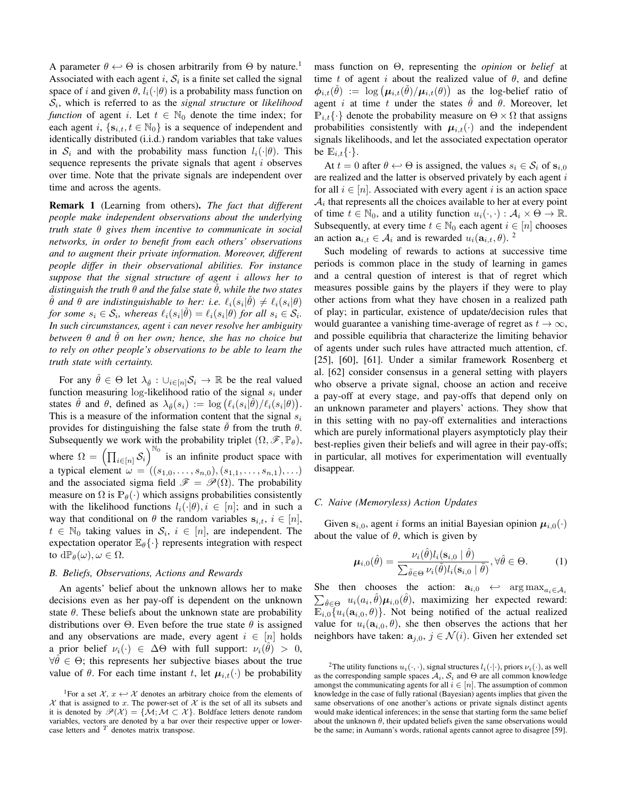A parameter  $\theta \leftrightarrow \Theta$  is chosen arbitrarily from  $\Theta$  by nature.<sup>1</sup> Associated with each agent i,  $S_i$  is a finite set called the signal space of i and given  $\theta$ ,  $l_i(\cdot|\theta)$  is a probability mass function on Si , which is referred to as the *signal structure* or *likelihood function* of agent i. Let  $t \in \mathbb{N}_0$  denote the time index; for each agent i,  $\{s_{i,t}, t \in \mathbb{N}_0\}$  is a sequence of independent and identically distributed (i.i.d.) random variables that take values in  $S_i$  and with the probability mass function  $l_i(\cdot|\theta)$ . This sequence represents the private signals that agent  $i$  observes over time. Note that the private signals are independent over time and across the agents.

Remark 1 (Learning from others). *The fact that different people make independent observations about the underlying truth state* θ *gives them incentive to communicate in social networks, in order to benefit from each others' observations and to augment their private information. Moreover, different people differ in their observational abilities. For instance suppose that the signal structure of agent* i *allows her to*  $distance$  *distinguish the truth*  $\theta$  *and the false state*  $\theta$ *, while the two states*  $\hat{\theta}$  and  $\theta$  are indistinguishable to her: i.e.  $\ell_i(s_i|\check{\theta}) \neq \ell_i(s_i|\theta)$ *for some*  $s_i \in S_i$ , whereas  $\ell_i(s_i | \theta) = \ell_i(s_i | \theta)$  *for all*  $s_i \in S_i$ . *In such circumstances, agent* i *can never resolve her ambiguity*  $b$ etween  $\theta$  *and*  $\check{\theta}$  *on her own; hence, she has no choice but to rely on other people's observations to be able to learn the truth state with certainty.*

For any  $\hat{\theta} \in \Theta$  let  $\lambda_{\hat{\theta}} : \cup_{i \in [n]} \mathcal{S}_i \to \mathbb{R}$  be the real valued function measuring log-likelihood ratio of the signal  $s_i$  under states  $\check{\theta}$  and  $\theta$ , defined as  $\lambda_{\check{\theta}}(s_i) := \log \left( \ell_i(s_i | \check{\theta}) / \ell_i(s_i | \theta) \right)$ . This is a measure of the information content that the signal  $s_i$ provides for distinguishing the false state  $\dot{\theta}$  from the truth  $\theta$ . Subsequently we work with the probability triplet  $(\Omega, \mathscr{F}, \mathbb{P}_{\theta})$ , where  $\Omega = \left( \prod_{i \in [n]} \mathcal{S}_i \right)$  $\int_{0}^{\mathbb{N}_0}$  is an infinite product space with a typical element  $\omega = ((s_{1,0}, \ldots, s_{n,0}), (s_{1,1}, \ldots, s_{n,1}), \ldots)$ and the associated sigma field  $\mathscr{F} = \mathscr{P}(\Omega)$ . The probability measure on  $\Omega$  is  $\mathbb{P}_{\theta}(\cdot)$  which assigns probabilities consistently with the likelihood functions  $l_i(\cdot|\theta), i \in [n]$ ; and in such a way that conditional on  $\theta$  the random variables  $s_{i,t}$ ,  $i \in [n]$ ,  $t \in \mathbb{N}_0$  taking values in  $S_i$ ,  $i \in [n]$ , are independent. The expectation operator  $\mathbb{E}_{\theta} \{\cdot\}$  represents integration with respect to  $d\mathbb{P}_{\theta}(\omega), \omega \in \Omega$ .

#### *B. Beliefs, Observations, Actions and Rewards*

An agents' belief about the unknown allows her to make decisions even as her pay-off is dependent on the unknown state  $\theta$ . These beliefs about the unknown state are probability distributions over  $\Theta$ . Even before the true state  $\theta$  is assigned and any observations are made, every agent  $i \in [n]$  holds a prior belief  $\nu_i(\cdot) \in \Delta \Theta$  with full support:  $\nu_i(\hat{\theta}) > 0$ ,  $\forall \hat{\theta} \in \Theta$ ; this represents her subjective biases about the true value of  $\theta$ . For each time instant t, let  $\mu_{i,t}(\cdot)$  be probability

mass function on Θ, representing the *opinion* or *belief* at time t of agent i about the realized value of  $\theta$ , and define  $\phi_{i,t}(\check{\theta}) := \log \left( \mu_{i,t}(\check{\theta}) / \mu_{i,t}(\theta) \right)$  as the log-belief ratio of agent *i* at time *t* under the states  $\dot{\theta}$  and  $\theta$ . Moreover, let  $\mathbb{P}_{i,t} \{\cdot\}$  denote the probability measure on  $\Theta \times \Omega$  that assigns probabilities consistently with  $\mu_{i,t}(\cdot)$  and the independent signals likelihoods, and let the associated expectation operator be  $\mathbb{E}_{i,t} \{\cdot\}.$ 

At  $t = 0$  after  $\theta \leftrightarrow \Theta$  is assigned, the values  $s_i \in \mathcal{S}_i$  of  $\mathbf{s}_{i,0}$ are realized and the latter is observed privately by each agent  $i$ for all  $i \in [n]$ . Associated with every agent i is an action space  $A_i$  that represents all the choices available to her at every point of time  $t \in \mathbb{N}_0$ , and a utility function  $u_i(\cdot, \cdot) : \mathcal{A}_i \times \Theta \to \mathbb{R}$ . Subsequently, at every time  $t \in \mathbb{N}_0$  each agent  $i \in [n]$  chooses an action  $\mathbf{a}_{i,t} \in \mathcal{A}_i$  and is rewarded  $u_i(\mathbf{a}_{i,t}, \theta)$ . <sup>2</sup>

Such modeling of rewards to actions at successive time periods is common place in the study of learning in games and a central question of interest is that of regret which measures possible gains by the players if they were to play other actions from what they have chosen in a realized path of play; in particular, existence of update/decision rules that would guarantee a vanishing time-average of regret as  $t \to \infty$ , and possible equilibria that characterize the limiting behavior of agents under such rules have attracted much attention, cf. [25], [60], [61]. Under a similar framework Rosenberg et al. [62] consider consensus in a general setting with players who observe a private signal, choose an action and receive a pay-off at every stage, and pay-offs that depend only on an unknown parameter and players' actions. They show that in this setting with no pay-off externalities and interactions which are purely informational players asymptoticly play their best-replies given their beliefs and will agree in their pay-offs; in particular, all motives for experimentation will eventually disappear.

# *C. Naive (Memoryless) Action Updates*

Given  $s_{i,0}$ , agent i forms an initial Bayesian opinion  $\mu_{i,0}(\cdot)$ about the value of  $\theta$ , which is given by

$$
\boldsymbol{\mu}_{i,0}(\hat{\theta}) = \frac{\nu_i(\hat{\theta})l_i(\mathbf{s}_{i,0} | \hat{\theta})}{\sum_{\tilde{\theta} \in \Theta} \nu_i(\tilde{\theta})l_i(\mathbf{s}_{i,0} | \tilde{\theta})}, \forall \hat{\theta} \in \Theta.
$$
 (1)

She then chooses the action:  $a_{i,0} \leftrightarrow \arg \max_{a_i \in A_i} a_i$  $\sum_{\theta \in \Theta} u_i(a_i, \hat{\theta}) \mu_{i,0}(\hat{\theta})$ , maximizing her expected reward:  $\mathbb{E}_{i,0}\lbrace u_i(\mathbf{a}_{i,0},\theta) \rbrace$ . Not being notified of the actual realized value for  $u_i(\mathbf{a}_{i,0}, \theta)$ , she then observes the actions that her neighbors have taken:  $a_{j,0}, j \in \mathcal{N}(i)$ . Given her extended set

<sup>&</sup>lt;sup>1</sup>For a set  $\mathcal{X}, x \leftrightarrow \mathcal{X}$  denotes an arbitrary choice from the elements of  $X$  that is assigned to x. The power-set of  $X$  is the set of all its subsets and it is denoted by  $\mathcal{P}(\mathcal{X}) = \{M; M \subset \mathcal{X}\}\$ . Boldface letters denote random variables, vectors are denoted by a bar over their respective upper or lowercase letters and  $T$  denotes matrix transpose.

<sup>&</sup>lt;sup>2</sup>The utility functions  $u_i(\cdot, \cdot)$ , signal structures  $l_i(\cdot|\cdot)$ , priors  $\nu_i(\cdot)$ , as well as the corresponding sample spaces  $A_i$ ,  $S_i$  and  $\Theta$  are all common knowledge amongst the communicating agents for all  $i \in [n]$ . The assumption of common knowledge in the case of fully rational (Bayesian) agents implies that given the same observations of one another's actions or private signals distinct agents would make identical inferences; in the sense that starting form the same belief about the unknown  $\theta$ , their updated beliefs given the same observations would be the same; in Aumann's words, rational agents cannot agree to disagree [59].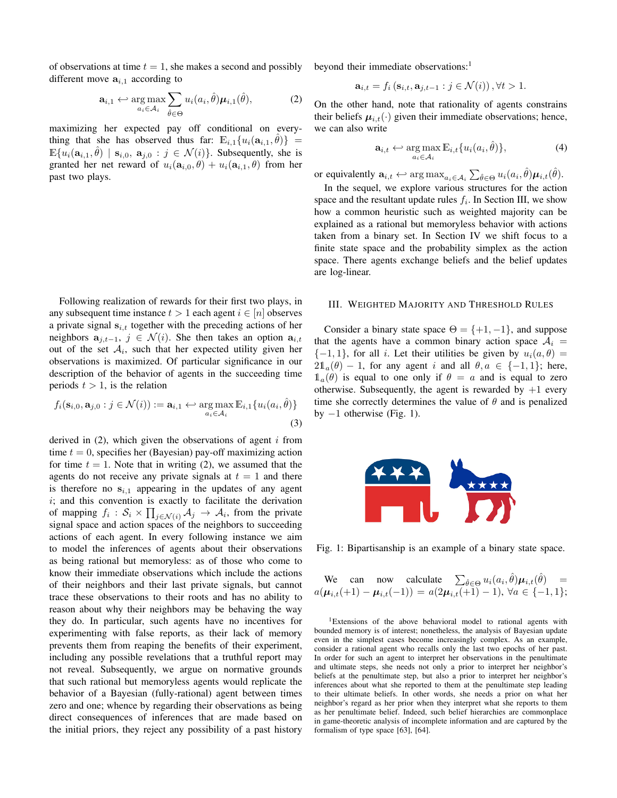of observations at time  $t = 1$ , she makes a second and possibly different move  $a_{i,1}$  according to

$$
\mathbf{a}_{i,1} \leftrightarrow \underset{a_i \in \mathcal{A}_i}{\arg \max} \sum_{\hat{\theta} \in \Theta} u_i(a_i, \hat{\theta}) \boldsymbol{\mu}_{i,1}(\hat{\theta}), \tag{2}
$$

maximizing her expected pay off conditional on everything that she has observed thus far:  $\mathbb{E}_{i,1}\{u_i(\mathbf{a}_{i,1}, \hat{\theta})\} =$  $\mathbb{E}\{u_i(\mathbf{a}_{i,1},\hat{\theta}) \mid \mathbf{s}_{i,0}, \mathbf{a}_{j,0} : j \in \mathcal{N}(i)\}\)$ . Subsequently, she is granted her net reward of  $u_i(\mathbf{a}_{i,0}, \theta) + u_i(\mathbf{a}_{i,1}, \theta)$  from her past two plays.

Following realization of rewards for their first two plays, in any subsequent time instance  $t > 1$  each agent  $i \in [n]$  observes a private signal  $s_{i,t}$  together with the preceding actions of her neighbors  $a_{j,t-1}$ ,  $j \in \mathcal{N}(i)$ . She then takes an option  $a_{i,t}$ out of the set  $A_i$ , such that her expected utility given her observations is maximized. Of particular significance in our description of the behavior of agents in the succeeding time periods  $t > 1$ , is the relation

$$
f_i(\mathbf{s}_{i,0}, \mathbf{a}_{j,0} : j \in \mathcal{N}(i)) := \mathbf{a}_{i,1} \leftrightarrow \underset{a_i \in \mathcal{A}_i}{\arg \max} \mathbb{E}_{i,1} \{ u_i(a_i, \hat{\theta}) \}
$$
\n(3)

derived in  $(2)$ , which given the observations of agent i from time  $t = 0$ , specifies her (Bayesian) pay-off maximizing action for time  $t = 1$ . Note that in writing (2), we assumed that the agents do not receive any private signals at  $t = 1$  and there is therefore no  $s_{i,1}$  appearing in the updates of any agent  $i$ ; and this convention is exactly to facilitate the derivation of mapping  $f_i : S_i \times \prod_{j \in \mathcal{N}(i)} \mathcal{A}_j \to \mathcal{A}_i$ , from the private signal space and action spaces of the neighbors to succeeding actions of each agent. In every following instance we aim to model the inferences of agents about their observations as being rational but memoryless: as of those who come to know their immediate observations which include the actions of their neighbors and their last private signals, but cannot trace these observations to their roots and has no ability to reason about why their neighbors may be behaving the way they do. In particular, such agents have no incentives for experimenting with false reports, as their lack of memory prevents them from reaping the benefits of their experiment, including any possible revelations that a truthful report may not reveal. Subsequently, we argue on normative grounds that such rational but memoryless agents would replicate the behavior of a Bayesian (fully-rational) agent between times zero and one; whence by regarding their observations as being direct consequences of inferences that are made based on the initial priors, they reject any possibility of a past history

beyond their immediate observations:<sup>1</sup>

$$
\mathbf{a}_{i,t} = f_i\left(\mathbf{s}_{i,t}, \mathbf{a}_{j,t-1} : j \in \mathcal{N}(i)\right), \forall t > 1.
$$

On the other hand, note that rationality of agents constrains their beliefs  $\mu_{i,t}(\cdot)$  given their immediate observations; hence, we can also write

$$
\mathbf{a}_{i,t} \leftarrow \underset{a_i \in \mathcal{A}_i}{\arg \max} \mathbb{E}_{i,t} \{ u_i(a_i, \hat{\theta}) \},\tag{4}
$$

or equivalently  $\mathbf{a}_{i,t} \leftrightarrow \arg \max_{a_i \in \mathcal{A}_i} \sum_{\hat{\theta} \in \Theta} u_i(a_i, \hat{\theta}) \boldsymbol{\mu}_{i,t}(\hat{\theta}).$ 

In the sequel, we explore various structures for the action space and the resultant update rules  $f_i$ . In Section III, we show how a common heuristic such as weighted majority can be explained as a rational but memoryless behavior with actions taken from a binary set. In Section IV we shift focus to a finite state space and the probability simplex as the action space. There agents exchange beliefs and the belief updates are log-linear.

## III. WEIGHTED MAJORITY AND THRESHOLD RULES

Consider a binary state space  $\Theta = \{+1, -1\}$ , and suppose that the agents have a common binary action space  $A_i =$  $\{-1, 1\}$ , for all *i*. Let their utilities be given by  $u_i(a, \theta) =$  $2\mathbb{1}_a(\theta) - 1$ , for any agent i and all  $\theta, \alpha \in \{-1, 1\}$ ; here,  $\mathbb{1}_a(\theta)$  is equal to one only if  $\theta = a$  and is equal to zero otherwise. Subsequently, the agent is rewarded by  $+1$  every time she correctly determines the value of  $\theta$  and is penalized by  $-1$  otherwise (Fig. 1).



Fig. 1: Bipartisanship is an example of a binary state space.

We can now calculate 
$$
\sum_{\hat{\theta} \in \Theta} u_i(a_i, \hat{\theta}) \mu_{i,t}(\hat{\theta}) = a(\mu_{i,t}(+1) - \mu_{i,t}(-1)) = a(2\mu_{i,t}(+1) - 1), \forall a \in \{-1, 1\};
$$

<sup>1</sup>Extensions of the above behavioral model to rational agents with bounded memory is of interest; nonetheless, the analysis of Bayesian update even in the simplest cases become increasingly complex. As an example, consider a rational agent who recalls only the last two epochs of her past. In order for such an agent to interpret her observations in the penultimate and ultimate steps, she needs not only a prior to interpret her neighbor's beliefs at the penultimate step, but also a prior to interpret her neighbor's inferences about what she reported to them at the penultimate step leading to their ultimate beliefs. In other words, she needs a prior on what her neighbor's regard as her prior when they interpret what she reports to them as her penultimate belief. Indeed, such belief hierarchies are commonplace in game-theoretic analysis of incomplete information and are captured by the formalism of type space [63], [64].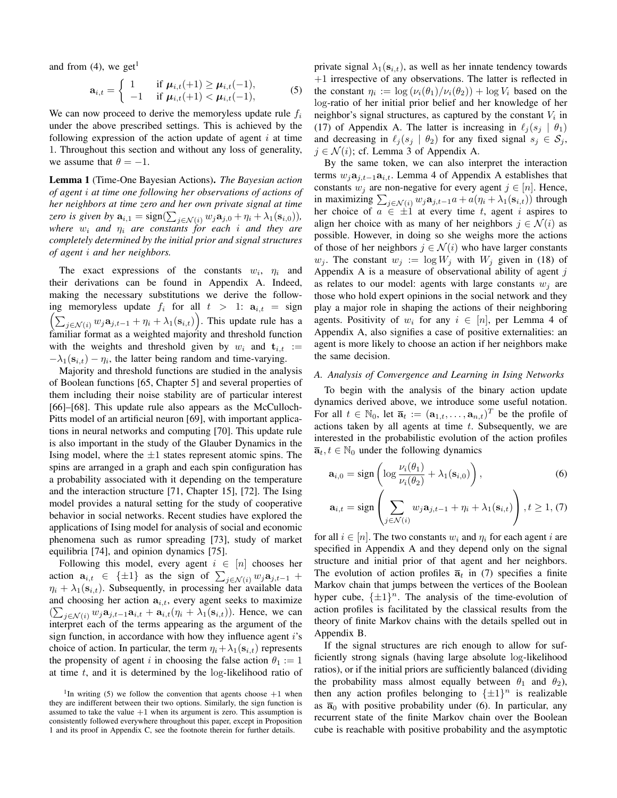and from  $(4)$ , we get<sup>1</sup>

$$
\mathbf{a}_{i,t} = \begin{cases} 1 & \text{if } \boldsymbol{\mu}_{i,t}(+1) \geq \boldsymbol{\mu}_{i,t}(-1), \\ -1 & \text{if } \boldsymbol{\mu}_{i,t}(+1) < \boldsymbol{\mu}_{i,t}(-1), \end{cases}
$$
(5)

We can now proceed to derive the memoryless update rule  $f_i$ under the above prescribed settings. This is achieved by the following expression of the action update of agent  $i$  at time 1. Throughout this section and without any loss of generality, we assume that  $\theta = -1$ .

Lemma 1 (Time-One Bayesian Actions). *The Bayesian action of agent* i *at time one following her observations of actions of her neighbors at time zero and her own private signal at time zero is given by*  $\mathbf{a}_{i,1} = \text{sign}(\sum_{j \in \mathcal{N}(i)} w_j \mathbf{a}_{j,0} + \eta_i + \lambda_1(\mathbf{s}_{i,0}))$ ,  $where \t w_i$  *and*  $\eta_i$  *are constants for each i and they are completely determined by the initial prior and signal structures of agent* i *and her neighbors.*

The exact expressions of the constants  $w_i$ ,  $\eta_i$  and their derivations can be found in Appendix A. Indeed, making the necessary substitutions we derive the following memoryless update  $f_i$  for all  $t > 1$ :  $a_{i,t} = sign$  $\left(\sum_{j\in\mathcal{N}(i)} w_j \mathbf{a}_{j,t-1} + \eta_i + \lambda_1(\mathbf{s}_{i,t})\right)$ . This update rule has a familiar format as a weighted majority and threshold function with the weights and threshold given by  $w_i$  and  $t_{i,t}$  :=  $-\lambda_1(\mathbf{s}_{i,t}) - \eta_i$ , the latter being random and time-varying.

Majority and threshold functions are studied in the analysis of Boolean functions [65, Chapter 5] and several properties of them including their noise stability are of particular interest [66]–[68]. This update rule also appears as the McCulloch-Pitts model of an artificial neuron [69], with important applications in neural networks and computing [70]. This update rule is also important in the study of the Glauber Dynamics in the Ising model, where the  $\pm 1$  states represent atomic spins. The spins are arranged in a graph and each spin configuration has a probability associated with it depending on the temperature and the interaction structure [71, Chapter 15], [72]. The Ising model provides a natural setting for the study of cooperative behavior in social networks. Recent studies have explored the applications of Ising model for analysis of social and economic phenomena such as rumor spreading [73], study of market equilibria [74], and opinion dynamics [75].

Following this model, every agent  $i \in [n]$  chooses her action  $\mathbf{a}_{i,t} \in {\pm 1}$  as the sign of  $\sum_{j \in \mathcal{N}(i)} w_j \mathbf{a}_{j,t-1}$  +  $\eta_i + \lambda_1(\mathbf{s}_{i,t})$ . Subsequently, in processing her available data and choosing her action  $a_{i,t}$ , every agent seeks to maximize  $(\sum_{j \in \mathcal{N}(i)} w_j \mathbf{a}_{j,t-1} \mathbf{a}_{i,t} + \mathbf{a}_{i,t} (\eta_i + \lambda_1(\mathbf{s}_{i,t}))$ . Hence, we can interpret each of the terms appearing as the argument of the sign function, in accordance with how they influence agent  $i$ 's choice of action. In particular, the term  $\eta_i + \lambda_1(\mathbf{s}_{i,t})$  represents the propensity of agent i in choosing the false action  $\theta_1 := 1$ at time  $t$ , and it is determined by the  $log$ -likelihood ratio of

private signal  $\lambda_1(s_{i,t})$ , as well as her innate tendency towards +1 irrespective of any observations. The latter is reflected in the constant  $\eta_i := \log(\nu_i(\theta_1)/\nu_i(\theta_2)) + \log V_i$  based on the log-ratio of her initial prior belief and her knowledge of her neighbor's signal structures, as captured by the constant  $V_i$  in (17) of Appendix A. The latter is increasing in  $\ell_i (s_i \mid \theta_1)$ and decreasing in  $\ell_j (s_j \mid \theta_2)$  for any fixed signal  $s_j \in S_j$ ,  $i \in \mathcal{N}(i)$ ; cf. Lemma 3 of Appendix A.

By the same token, we can also interpret the interaction terms  $w_i$ **a**<sub>i,t−1</sub>a<sub>i,t</sub>. Lemma 4 of Appendix A establishes that constants  $w_j$  are non-negative for every agent  $j \in [n]$ . Hence, in maximizing  $\sum_{j \in \mathcal{N}(i)} w_j \mathbf{a}_{j,t-1} a + a(\eta_i + \lambda_1(\mathbf{s}_{i,t}))$  through her choice of  $a \in \pm 1$  at every time t, agent i aspires to align her choice with as many of her neighbors  $j \in \mathcal{N}(i)$  as possible. However, in doing so she weighs more the actions of those of her neighbors  $j \in \mathcal{N}(i)$  who have larger constants  $w_j$ . The constant  $w_j := \log W_j$  with  $W_j$  given in (18) of Appendix A is a measure of observational ability of agent  $j$ as relates to our model: agents with large constants  $w_i$  are those who hold expert opinions in the social network and they play a major role in shaping the actions of their neighboring agents. Positivity of  $w_i$  for any  $i \in [n]$ , per Lemma 4 of Appendix A, also signifies a case of positive externalities: an agent is more likely to choose an action if her neighbors make the same decision.

## *A. Analysis of Convergence and Learning in Ising Networks*

To begin with the analysis of the binary action update dynamics derived above, we introduce some useful notation. For all  $t \in \mathbb{N}_0$ , let  $\overline{\mathbf{a}}_t := (\mathbf{a}_{1,t}, \dots, \mathbf{a}_{n,t})^T$  be the profile of actions taken by all agents at time  $t$ . Subsequently, we are interested in the probabilistic evolution of the action profiles  $\overline{\mathbf{a}}_t, t \in \mathbb{N}_0$  under the following dynamics

$$
\mathbf{a}_{i,0} = \text{sign}\left(\log \frac{\nu_i(\theta_1)}{\nu_i(\theta_2)} + \lambda_1(\mathbf{s}_{i,0})\right),\tag{6}
$$

$$
\mathbf{a}_{i,t} = \text{sign}\left(\sum_{j \in \mathcal{N}(i)} w_j \mathbf{a}_{j,t-1} + \eta_i + \lambda_1(\mathbf{s}_{i,t})\right), t \ge 1, (7)
$$

for all  $i \in [n]$ . The two constants  $w_i$  and  $\eta_i$  for each agent i are specified in Appendix A and they depend only on the signal structure and initial prior of that agent and her neighbors. The evolution of action profiles  $\bar{a}_t$  in (7) specifies a finite Markov chain that jumps between the vertices of the Boolean hyper cube,  $\{\pm 1\}^n$ . The analysis of the time-evolution of action profiles is facilitated by the classical results from the theory of finite Markov chains with the details spelled out in Appendix B.

If the signal structures are rich enough to allow for sufficiently strong signals (having large absolute log-likelihood ratios), or if the initial priors are sufficiently balanced (dividing the probability mass almost equally between  $\theta_1$  and  $\theta_2$ ), then any action profiles belonging to  $\{\pm 1\}^n$  is realizable as  $\overline{a}_0$  with positive probability under (6). In particular, any recurrent state of the finite Markov chain over the Boolean cube is reachable with positive probability and the asymptotic

<sup>&</sup>lt;sup>1</sup>In writing (5) we follow the convention that agents choose  $+1$  when they are indifferent between their two options. Similarly, the sign function is assumed to take the value  $+1$  when its argument is zero. This assumption is consistently followed everywhere throughout this paper, except in Proposition 1 and its proof in Appendix C, see the footnote therein for further details.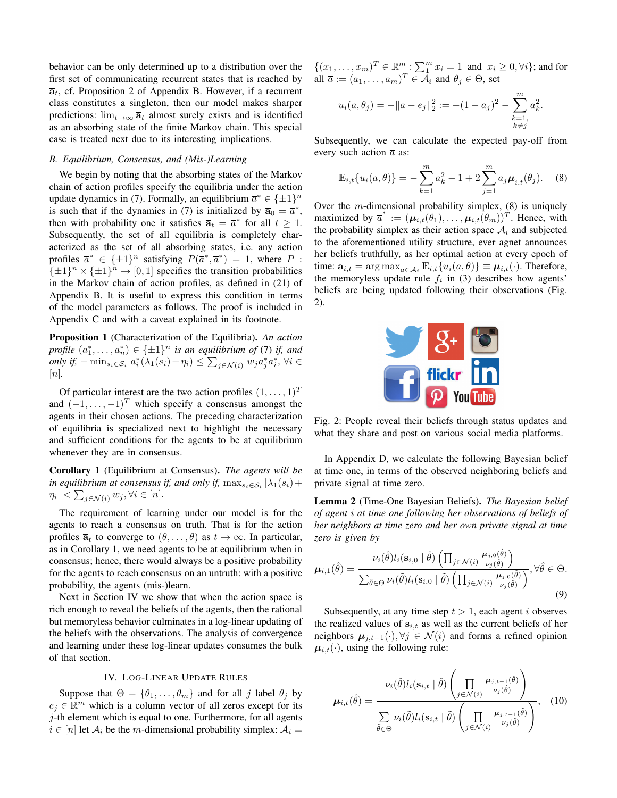behavior can be only determined up to a distribution over the first set of communicating recurrent states that is reached by  $\overline{a}_t$ , cf. Proposition 2 of Appendix B. However, if a recurrent class constitutes a singleton, then our model makes sharper predictions:  $\lim_{t\to\infty} \bar{a}_t$  almost surely exists and is identified as an absorbing state of the finite Markov chain. This special case is treated next due to its interesting implications.

## *B. Equilibrium, Consensus, and (Mis-)Learning*

We begin by noting that the absorbing states of the Markov chain of action profiles specify the equilibria under the action update dynamics in (7). Formally, an equilibrium  $\overline{a}^* \in {\pm 1}^n$ is such that if the dynamics in (7) is initialized by  $\overline{a}_0 = \overline{a}^*$ , then with probability one it satisfies  $\overline{a}_t = \overline{a}^*$  for all  $t \ge 1$ . Subsequently, the set of all equilibria is completely characterized as the set of all absorbing states, i.e. any action profiles  $\overline{a}^* \in {\pm 1}^n$  satisfying  $P(\overline{a}^*, \overline{a}^*) = 1$ , where P:  $\{\pm 1\}^n \times {\{\pm 1\}}^n \rightarrow [0, 1]$  specifies the transition probabilities in the Markov chain of action profiles, as defined in (21) of Appendix B. It is useful to express this condition in terms of the model parameters as follows. The proof is included in Appendix C and with a caveat explained in its footnote.

Proposition 1 (Characterization of the Equilibria). *An action profile*  $(a_1^*, \ldots, a_n^*) \in {\{\pm 1\}}^n$  *is an equilibrium of* (7) *if, and only if,*  $-\min_{s_i \in S_i} a_i^*(\lambda_1(s_i) + \eta_i) \le \sum_{j \in \mathcal{N}(i)} w_j a_j^* a_i^*$ ,  $\forall i \in$  $|n|$ .

Of particular interest are the two action profiles  $(1, \ldots, 1)^T$ and  $(-1, \ldots, -1)^T$  which specify a consensus amongst the agents in their chosen actions. The preceding characterization of equilibria is specialized next to highlight the necessary and sufficient conditions for the agents to be at equilibrium whenever they are in consensus.

Corollary 1 (Equilibrium at Consensus). *The agents will be in equilibrium at consensus if, and only if,*  $\max_{s_i \in S_i} |\lambda_1(s_i) +$  $\eta_i \vert < \sum_{j \in \mathcal{N}(i)} w_j, \forall i \in [n].$ 

The requirement of learning under our model is for the agents to reach a consensus on truth. That is for the action profiles  $\overline{a}_t$  to converge to  $(\theta, \ldots, \theta)$  as  $t \to \infty$ . In particular, as in Corollary 1, we need agents to be at equilibrium when in consensus; hence, there would always be a positive probability for the agents to reach consensus on an untruth: with a positive probability, the agents (mis-)learn.

Next in Section IV we show that when the action space is rich enough to reveal the beliefs of the agents, then the rational but memoryless behavior culminates in a log-linear updating of the beliefs with the observations. The analysis of convergence and learning under these log-linear updates consumes the bulk of that section.

# IV. LOG-LINEAR UPDATE RULES

Suppose that  $\Theta = {\theta_1, \dots, \theta_m}$  and for all j label  $\theta_j$  by  $\overline{e}_j \in \mathbb{R}^m$  which is a column vector of all zeros except for its  $j$ -th element which is equal to one. Furthermore, for all agents  $i \in [n]$  let  $A_i$  be the m-dimensional probability simplex:  $A_i =$   $\{(x_1,\ldots,x_m)^T \in \mathbb{R}^m : \sum_{i=1}^m x_i = 1 \text{ and } x_i \geq 0, \forall i\};$  and for all  $\overline{a} := (a_1, \dots, a_m)^T \in \mathcal{A}_i$  and  $\theta_j \in \Theta$ , set

$$
u_i(\overline{a}, \theta_j) = -\|\overline{a} - \overline{e}_j\|_2^2 := -(1 - a_j)^2 - \sum_{\substack{k=1, \\ k \neq j}}^m a_k^2.
$$

Subsequently, we can calculate the expected pay-off from every such action  $\bar{a}$  as:

$$
\mathbb{E}_{i,t}\{u_i(\overline{a},\theta)\} = -\sum_{k=1}^m a_k^2 - 1 + 2\sum_{j=1}^m a_j \mu_{i,t}(\theta_j). \tag{8}
$$

Over the *m*-dimensional probability simplex,  $(8)$  is uniquely maximized by  $\overline{a}^* := (\mu_{i,t}(\theta_1), \dots, \mu_{i,t}(\theta_m))^T$ . Hence, with the probability simplex as their action space  $A_i$  and subjected to the aforementioned utility structure, ever agnet announces her beliefs truthfully, as her optimal action at every epoch of time:  $\mathbf{a}_{i,t} = \arg \max_{a \in \mathcal{A}_i} \mathbb{E}_{i,t} \{ u_i(a, \theta) \} \equiv \mu_{i,t}(\cdot)$ . Therefore, the memoryless update rule  $f_i$  in (3) describes how agents' beliefs are being updated following their observations (Fig. 2).



Fig. 2: People reveal their beliefs through status updates and what they share and post on various social media platforms.

In Appendix D, we calculate the following Bayesian belief at time one, in terms of the observed neighboring beliefs and private signal at time zero.

Lemma 2 (Time-One Bayesian Beliefs). *The Bayesian belief of agent* i *at time one following her observations of beliefs of her neighbors at time zero and her own private signal at time zero is given by*

$$
\boldsymbol{\mu}_{i,1}(\hat{\theta}) = \frac{\nu_i(\hat{\theta})l_i(\mathbf{s}_{i,0} | \hat{\theta}) \left(\prod_{j \in \mathcal{N}(i)} \frac{\boldsymbol{\mu}_{j,0}(\hat{\theta})}{\nu_j(\hat{\theta})}\right)}{\sum_{\tilde{\theta} \in \Theta} \nu_i(\tilde{\theta})l_i(\mathbf{s}_{i,0} | \tilde{\theta}) \left(\prod_{j \in \mathcal{N}(i)} \frac{\boldsymbol{\mu}_{j,0}(\tilde{\theta})}{\nu_j(\tilde{\theta})}\right)}, \forall \hat{\theta} \in \Theta.
$$
\n(9)

Subsequently, at any time step  $t > 1$ , each agent i observes the realized values of  $s_{i,t}$  as well as the current beliefs of her neighbors  $\mu_{j,t-1}(\cdot), \forall j \in \mathcal{N}(i)$  and forms a refined opinion  $\mu_{i,t}(\cdot)$ , using the following rule:

$$
\mu_{i,t}(\hat{\theta}) = \frac{\nu_i(\hat{\theta})l_i(\mathbf{s}_{i,t} | \hat{\theta}) \left(\prod_{j \in \mathcal{N}(i)} \frac{\mu_{j,t-1}(\hat{\theta})}{\nu_j(\hat{\theta})}\right)}{\sum\limits_{\tilde{\theta} \in \Theta} \nu_i(\tilde{\theta})l_i(\mathbf{s}_{i,t} | \tilde{\theta}) \left(\prod_{j \in \mathcal{N}(i)} \frac{\mu_{j,t-1}(\tilde{\theta})}{\nu_j(\tilde{\theta})}\right)}, \quad (10)
$$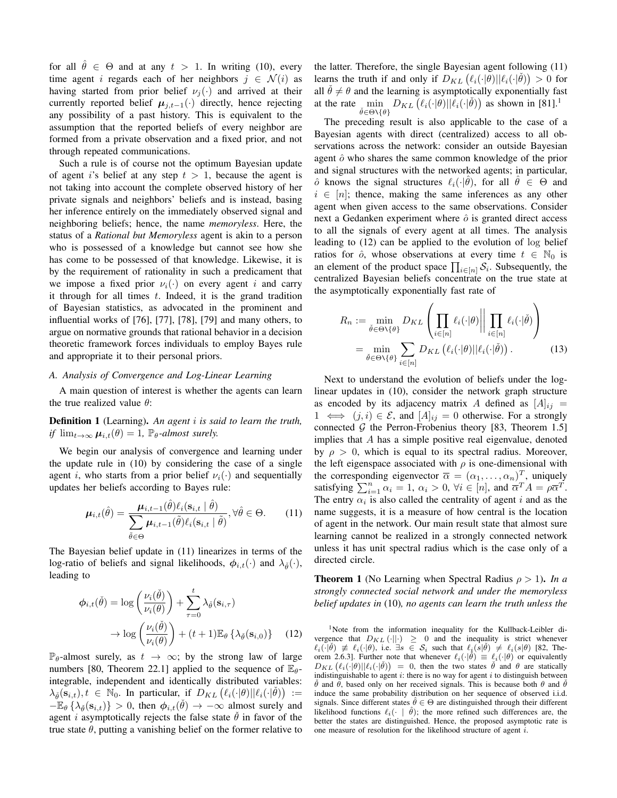for all  $\hat{\theta} \in \Theta$  and at any  $t > 1$ . In writing (10), every time agent i regards each of her neighbors  $j \in \mathcal{N}(i)$  as having started from prior belief  $\nu_j(\cdot)$  and arrived at their currently reported belief  $\mu_{j,t-1}(\cdot)$  directly, hence rejecting any possibility of a past history. This is equivalent to the assumption that the reported beliefs of every neighbor are formed from a private observation and a fixed prior, and not through repeated communications.

Such a rule is of course not the optimum Bayesian update of agent is belief at any step  $t > 1$ , because the agent is not taking into account the complete observed history of her private signals and neighbors' beliefs and is instead, basing her inference entirely on the immediately observed signal and neighboring beliefs; hence, the name *memoryless*. Here, the status of a *Rational but Memoryless* agent is akin to a person who is possessed of a knowledge but cannot see how she has come to be possessed of that knowledge. Likewise, it is by the requirement of rationality in such a predicament that we impose a fixed prior  $\nu_i(\cdot)$  on every agent i and carry it through for all times  $t$ . Indeed, it is the grand tradition of Bayesian statistics, as advocated in the prominent and influential works of [76], [77], [78], [79] and many others, to argue on normative grounds that rational behavior in a decision theoretic framework forces individuals to employ Bayes rule and appropriate it to their personal priors.

## *A. Analysis of Convergence and Log-Linear Learning*

A main question of interest is whether the agents can learn the true realized value  $\theta$ :

Definition 1 (Learning). *An agent* i *is said to learn the truth, if*  $\lim_{t\to\infty} \mu_{i,t}(\theta) = 1$ ,  $\mathbb{P}_{\theta}$ -almost surely.

We begin our analysis of convergence and learning under the update rule in (10) by considering the case of a single agent i, who starts from a prior belief  $\nu_i(\cdot)$  and sequentially updates her beliefs according to Bayes rule:

$$
\boldsymbol{\mu}_{i,t}(\hat{\theta}) = \frac{\boldsymbol{\mu}_{i,t-1}(\hat{\theta})\ell_i(\mathbf{s}_{i,t} \mid \hat{\theta})}{\sum_{\tilde{\theta}\in\Theta} \boldsymbol{\mu}_{i,t-1}(\tilde{\theta})\ell_i(\mathbf{s}_{i,t} \mid \tilde{\theta})}, \forall \hat{\theta} \in \Theta.
$$
 (11)

The Bayesian belief update in (11) linearizes in terms of the log-ratio of beliefs and signal likelihoods,  $\phi_{i,t}(\cdot)$  and  $\lambda_{\phi}(\cdot)$ , leading to

$$
\phi_{i,t}(\check{\theta}) = \log \left( \frac{\nu_i(\check{\theta})}{\nu_i(\theta)} \right) + \sum_{\tau=0}^t \lambda_{\check{\theta}}(\mathbf{s}_{i,\tau})
$$

$$
\to \log \left( \frac{\nu_i(\check{\theta})}{\nu_i(\theta)} \right) + (t+1) \mathbb{E}_{\theta} \left\{ \lambda_{\check{\theta}}(\mathbf{s}_{i,0}) \right\} \tag{12}
$$

 $\mathbb{P}_{\theta}$ -almost surely, as  $t \to \infty$ ; by the strong law of large numbers [80, Theorem 22.1] applied to the sequence of  $\mathbb{E}_{\theta}$ integrable, independent and identically distributed variables:  $\lambda_{\check{\theta}}(\mathbf{s}_{i,t}), t \in \mathbb{N}_0$ . In particular, if  $D_{KL}(\ell_i(\cdot|\theta)||\ell_i(\cdot|\check{\theta})) :=$  $-\mathbb{E}_{\theta}\left\{\lambda_{\check{\theta}}(\mathbf{s}_{i,t})\right\} > 0$ , then  $\phi_{i,t}(\check{\theta}) \to -\infty$  almost surely and agent *i* asymptotically rejects the false state  $\hat{\theta}$  in favor of the true state  $\theta$ , putting a vanishing belief on the former relative to the latter. Therefore, the single Bayesian agent following (11) learns the truth if and only if  $D_{KL}(\ell_i(\cdot|\theta)||\ell_i(\cdot|\check{\theta})) > 0$  for all  $\dot{\theta} \neq \theta$  and the learning is asymptotically exponentially fast at the rate  $\min_{\check{\theta} \in \Theta \setminus \{0\}} D_{KL}(\ell_i(\cdot|\theta)||\ell_i(\cdot|\check{\theta}))$  as shown in [81].<sup>1</sup>  $\check{\theta}$ ∈Θ\{ $\theta$ }

The preceding result is also applicable to the case of a Bayesian agents with direct (centralized) access to all observations across the network: consider an outside Bayesian agent  $\hat{o}$  who shares the same common knowledge of the prior and signal structures with the networked agents; in particular,  $\hat{o}$  knows the signal structures  $\ell_i(\cdot|\hat{\theta})$ , for all  $\hat{\theta} \in \Theta$  and  $i \in [n]$ ; thence, making the same inferences as any other agent when given access to the same observations. Consider next a Gedanken experiment where  $\hat{o}$  is granted direct access to all the signals of every agent at all times. The analysis leading to (12) can be applied to the evolution of log belief ratios for  $\hat{o}$ , whose observations at every time  $t \in \mathbb{N}_0$  is an element of the product space  $\prod_{i \in [n]} S_i$ . Subsequently, the centralized Bayesian beliefs concentrate on the true state at the asymptotically exponentially fast rate of

$$
R_n := \min_{\check{\theta} \in \Theta \setminus \{\theta\}} D_{KL} \left( \prod_{i \in [n]} \ell_i(\cdot | \theta) \middle| \prod_{i \in [n]} \ell_i(\cdot | \check{\theta}) \right)
$$

$$
= \min_{\check{\theta} \in \Theta \setminus \{\theta\}} \sum_{i \in [n]} D_{KL} \left( \ell_i(\cdot | \theta) || \ell_i(\cdot | \check{\theta}) \right). \tag{13}
$$

Next to understand the evolution of beliefs under the loglinear updates in (10), consider the network graph structure as encoded by its adjacency matrix A defined as  $[A]_{ii}$  =  $1 \iff (j, i) \in \mathcal{E}$ , and  $[A]_{ij} = 0$  otherwise. For a strongly connected  $G$  the Perron-Frobenius theory [83, Theorem 1.5] implies that A has a simple positive real eigenvalue, denoted by  $\rho > 0$ , which is equal to its spectral radius. Moreover, the left eigenspace associated with  $\rho$  is one-dimensional with the corresponding eigenvector  $\overline{\alpha} = (\alpha_1, \dots, \alpha_n)^T$ , uniquely satisfying  $\sum_{i=1}^{n} \alpha_i = 1$ ,  $\alpha_i > 0$ ,  $\forall i \in [n]$ , and  $\overline{\alpha}^T A = \rho \overline{\alpha}^T$ . The entry  $\alpha_i$  is also called the centrality of agent i and as the name suggests, it is a measure of how central is the location of agent in the network. Our main result state that almost sure learning cannot be realized in a strongly connected network unless it has unit spectral radius which is the case only of a directed circle.

**Theorem 1** (No Learning when Spectral Radius  $\rho > 1$ ). *In a strongly connected social network and under the memoryless belief updates in* (10)*, no agents can learn the truth unless the*

<sup>1</sup>Note from the information inequality for the Kullback-Leibler divergence that  $D_{KL}(\cdot||\cdot) \ge 0$  and the inequality is strict whenever  $\ell_i(\cdot|\check{\theta}) \not\equiv \ell_i(\cdot|\theta)$ , i.e.  $\exists s \in S_i$  such that  $\ell_i(s|\check{\theta}) \not= \ell_i(s|\theta)$  [82, Theorem 2.6.3]. Further note that whenever  $\ell_i(\cdot|\check{\theta}) \equiv \ell_i(\cdot|\theta)$  or equivalently  $D_{KL} (\ell_i(\cdot|\theta)||\ell_i(\cdot|\theta)) = 0$ , then the two states  $\check{\theta}$  and  $\theta$  are statically indistinguishable to agent  $i$ : there is no way for agent  $i$  to distinguish between  $θ$  and  $θ$ , based only on her received signals. This is because both  $θ$  and  $\ddotθ$ induce the same probability distribution on her sequence of observed i.i.d. signals. Since different states  $\hat{\theta} \in \Theta$  are distinguished through their different likelihood functions  $\ell_i(\cdot \mid \theta)$ ; the more refined such differences are, the better the states are distinguished. Hence, the proposed asymptotic rate is one measure of resolution for the likelihood structure of agent i.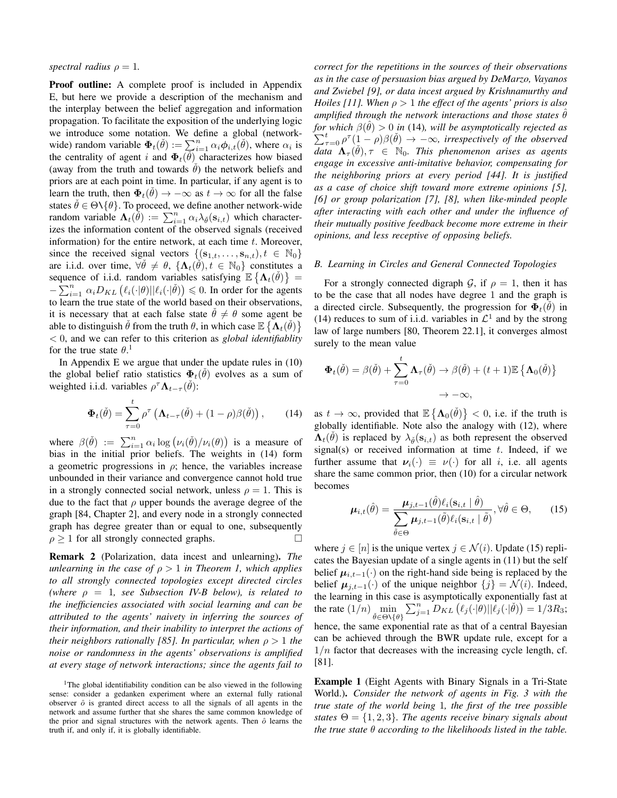## *spectral radius*  $\rho = 1$ *.*

Proof outline: A complete proof is included in Appendix E, but here we provide a description of the mechanism and the interplay between the belief aggregation and information propagation. To facilitate the exposition of the underlying logic we introduce some notation. We define a global (networkwide) random variable  $\Phi_t(\check{\theta}) := \sum_{i=1}^n \alpha_i \phi_{i,t}(\check{\theta})$ , where  $\alpha_i$  is the centrality of agent i and  $\Phi_t(\widecheck{\theta})$  characterizes how biased (away from the truth and towards  $\theta$ ) the network beliefs and priors are at each point in time. In particular, if any agent is to learn the truth, then  $\Phi_t(\check{\theta}) \to -\infty$  as  $t \to \infty$  for all the false states  $\check{\theta} \in \Theta \setminus {\theta}$ . To proceed, we define another network-wide random variable  $\Lambda_t(\tilde{\theta}) := \sum_{i=1}^n \alpha_i \lambda_{\tilde{\theta}}(\mathbf{s}_{i,t})$  which characterizes the information content of the observed signals (received information) for the entire network, at each time  $t$ . Moreover, since the received signal vectors  $\{(\mathbf{s}_{1,t},\ldots,\mathbf{s}_{n,t}), t \in \mathbb{N}_0\}$ are i.i.d. over time,  $\forall \check{\theta} \neq \theta$ ,  $\{\Lambda_t(\check{\theta}), t \in \mathbb{N}_0\}$  constitutes a sequence of i.i.d. random variables satisfying  $\mathbb{E} \left\{ \mathbf{\Lambda}_t(\check{\theta}) \right\} =$  $-\sum_{i=1}^n \alpha_i D_{KL} (\ell_i(\cdot|\theta)||\ell_i(\cdot|\check{\theta})) \leq 0$ . In order for the agents to learn the true state of the world based on their observations, it is necessary that at each false state  $\dot{\theta} \neq \theta$  some agent be able to distinguish  $\check{\theta}$  from the truth  $\theta$ , in which case  $\mathbb{E}\left\{ \Lambda_t(\check{\theta}) \right\}$ < 0, and we can refer to this criterion as *global identifiablity* for the true state  $\theta$ .<sup>1</sup>

In Appendix E we argue that under the update rules in (10) the global belief ratio statistics  $\Phi_t(\check{\theta})$  evolves as a sum of weighted i.i.d. variables  $\rho^{\tau} \Lambda_{t-\tau}(\check{\theta})$ :

$$
\Phi_t(\check{\theta}) = \sum_{\tau=0}^t \rho^\tau \left( \mathbf{\Lambda}_{t-\tau}(\check{\theta}) + (1-\rho)\beta(\check{\theta}) \right), \qquad (14)
$$

where  $\beta(\check{\theta}) := \sum_{i=1}^n \alpha_i \log (\nu_i(\check{\theta})/\nu_i(\theta))$  is a measure of bias in the initial prior beliefs. The weights in (14) form a geometric progressions in  $\rho$ ; hence, the variables increase unbounded in their variance and convergence cannot hold true in a strongly connected social network, unless  $\rho = 1$ . This is due to the fact that  $\rho$  upper bounds the average degree of the graph [84, Chapter 2], and every node in a strongly connected graph has degree greater than or equal to one, subsequently  $\rho > 1$  for all strongly connected graphs.

Remark 2 (Polarization, data incest and unlearning). *The unlearning in the case of* ρ > 1 *in Theorem 1, which applies to all strongly connected topologies except directed circles*  $(where \rho = 1, see Subsection IV-B below), is related to$ *the inefficiencies associated with social learning and can be attributed to the agents' naivety in inferring the sources of their information, and their inability to interpret the actions of their neighbors rationally [85]. In particular, when*  $\rho > 1$  *the noise or randomness in the agents' observations is amplified at every stage of network interactions; since the agents fail to*

<sup>1</sup>The global identifiability condition can be also viewed in the following sense: consider a gedanken experiment where an external fully rational observer  $\hat{o}$  is granted direct access to all the signals of all agents in the network and assume further that she shares the same common knowledge of the prior and signal structures with the network agents. Then  $\hat{o}$  learns the truth if, and only if, it is globally identifiable.

*correct for the repetitions in the sources of their observations as in the case of persuasion bias argued by DeMarzo, Vayanos and Zwiebel [9], or data incest argued by Krishnamurthy and Hoiles [11]. When* ρ > 1 *the effect of the agents' priors is also amplified through the network interactions and those states*  $\theta$ *for which*  $\beta(\hat{\theta}) > 0$  *in* (14), will be asymptotically rejected as  $\sum_{\tau=0}^t \rho^{\tau} (1-\rho) \beta(\check{\theta}) \to -\infty$ , irrespectively of the observed  $\overline{data} \Lambda_{\tau}(\check{\theta}), \tau \in \mathbb{N}_0$ . This phenomenon arises as agents *engage in excessive anti-imitative behavior, compensating for the neighboring priors at every period [44]. It is justified as a case of choice shift toward more extreme opinions [5], [6] or group polarization [7], [8], when like-minded people after interacting with each other and under the influence of their mutually positive feedback become more extreme in their opinions, and less receptive of opposing beliefs.*

#### *B. Learning in Circles and General Connected Topologies*

For a strongly connected digraph G, if  $\rho = 1$ , then it has to be the case that all nodes have degree 1 and the graph is a directed circle. Subsequently, the progression for  $\Phi_t(\tilde{\theta})$  in (14) reduces to sum of i.i.d. variables in  $\mathcal{L}^1$  and by the strong law of large numbers [80, Theorem 22.1], it converges almost surely to the mean value

$$
\Phi_t(\check{\theta}) = \beta(\check{\theta}) + \sum_{\tau=0}^t \Lambda_\tau(\check{\theta}) \to \beta(\check{\theta}) + (t+1) \mathbb{E} \left\{ \Lambda_0(\check{\theta}) \right\}
$$

$$
\to -\infty,
$$

as  $t \to \infty$ , provided that  $\mathbb{E} \left\{ \mathbf{\Lambda}_0(\check{\theta}) \right\} < 0$ , i.e. if the truth is globally identifiable. Note also the analogy with (12), where  $\Lambda_t(\check{\theta})$  is replaced by  $\lambda_{\check{\theta}}(\mathbf{s}_{i,t})$  as both represent the observed signal(s) or received information at time  $t$ . Indeed, if we further assume that  $\nu_i(\cdot) \equiv \nu(\cdot)$  for all *i*, i.e. all agents share the same common prior, then (10) for a circular network becomes

$$
\boldsymbol{\mu}_{i,t}(\hat{\theta}) = \frac{\boldsymbol{\mu}_{j,t-1}(\hat{\theta})\ell_i(\mathbf{s}_{i,t} | \hat{\theta})}{\sum_{\tilde{\theta}\in\Theta} \boldsymbol{\mu}_{j,t-1}(\tilde{\theta})\ell_i(\mathbf{s}_{i,t} | \tilde{\theta})}, \forall \hat{\theta} \in \Theta,
$$
 (15)

where  $j \in [n]$  is the unique vertex  $j \in \mathcal{N}(i)$ . Update (15) replicates the Bayesian update of a single agents in (11) but the self belief  $\mu_{i,t-1}(\cdot)$  on the right-hand side being is replaced by the belief  $\mu_{j,t-1}(\cdot)$  of the unique neighbor  $\{j\} = \mathcal{N}(i)$ . Indeed, the learning in this case is asymptotically exponentially fast at the rate  $(1/n)$  min  $\check{\theta}$ ∈Θ\{ $\theta$ }  $\sum_{j=1}^{n} \widetilde{D_{KL}}(\ell_j(\cdot|\theta)||\ell_j(\cdot|\check{\theta})) = 1/3R_3;$ hence, the same exponential rate as that of a central Bayesian can be achieved through the BWR update rule, except for a  $1/n$  factor that decreases with the increasing cycle length, cf. [81].

Example 1 (Eight Agents with Binary Signals in a Tri-State World.). *Consider the network of agents in Fig. 3 with the true state of the world being* 1*, the first of the tree possible states*  $\Theta = \{1, 2, 3\}$ *. The agents receive binary signals about the true state* θ *according to the likelihoods listed in the table.*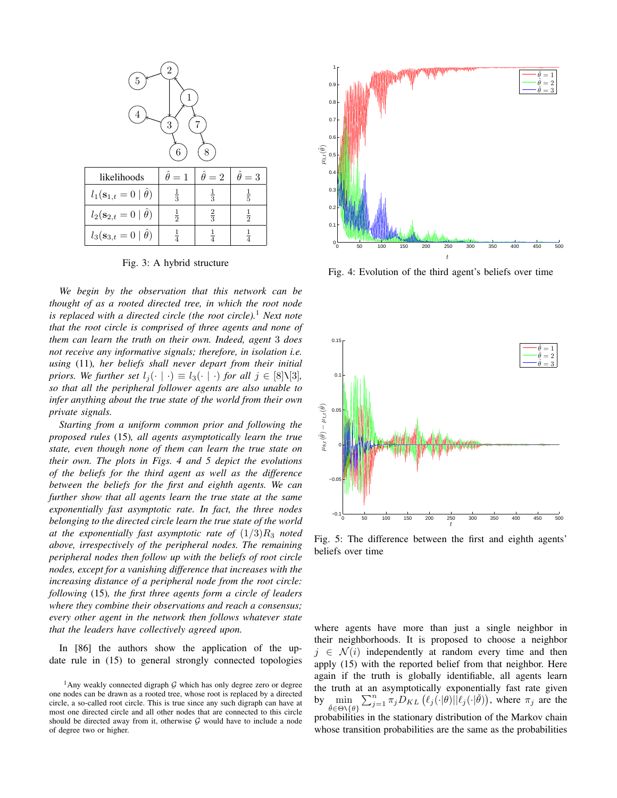

Fig. 3: A hybrid structure

*We begin by the observation that this network can be thought of as a rooted directed tree, in which the root node is replaced with a directed circle (the root circle).*<sup>1</sup> *Next note that the root circle is comprised of three agents and none of them can learn the truth on their own. Indeed, agent* 3 *does not receive any informative signals; therefore, in isolation i.e. using* (11)*, her beliefs shall never depart from their initial priors. We further set*  $l_j(\cdot | \cdot) \equiv l_3(\cdot | \cdot)$  *for all*  $j \in [8]\setminus[3]$ *, so that all the peripheral follower agents are also unable to infer anything about the true state of the world from their own private signals.*

*Starting from a uniform common prior and following the proposed rules* (15)*, all agents asymptotically learn the true state, even though none of them can learn the true state on their own. The plots in Figs. 4 and 5 depict the evolutions of the beliefs for the third agent as well as the difference between the beliefs for the first and eighth agents. We can further show that all agents learn the true state at the same exponentially fast asymptotic rate. In fact, the three nodes belonging to the directed circle learn the true state of the world* at the exponentially fast asymptotic rate of  $(1/3)R_3$  noted *above, irrespectively of the peripheral nodes. The remaining peripheral nodes then follow up with the beliefs of root circle nodes, except for a vanishing difference that increases with the increasing distance of a peripheral node from the root circle: following* (15)*, the first three agents form a circle of leaders where they combine their observations and reach a consensus; every other agent in the network then follows whatever state that the leaders have collectively agreed upon.*

In [86] the authors show the application of the update rule in (15) to general strongly connected topologies



Fig. 4: Evolution of the third agent's beliefs over time



Fig. 5: The difference between the first and eighth agents' beliefs over time

where agents have more than just a single neighbor in their neighborhoods. It is proposed to choose a neighbor  $j \in \mathcal{N}(i)$  independently at random every time and then apply (15) with the reported belief from that neighbor. Here again if the truth is globally identifiable, all agents learn the truth at an asymptotically exponentially fast rate given by  $\sin$  $\check{\theta} \in \Theta \setminus \{\theta\}$  $\sum_{j=1}^n \pi_j D_{KL} (\ell_j(\cdot|\theta)||\ell_j(\cdot|\check{\theta}))$ , where  $\pi_j$  are the probabilities in the stationary distribution of the Markov chain whose transition probabilities are the same as the probabilities

<sup>&</sup>lt;sup>1</sup>Any weakly connected digraph  $G$  which has only degree zero or degree one nodes can be drawn as a rooted tree, whose root is replaced by a directed circle, a so-called root circle. This is true since any such digraph can have at most one directed circle and all other nodes that are connected to this circle should be directed away from it, otherwise  $G$  would have to include a node of degree two or higher.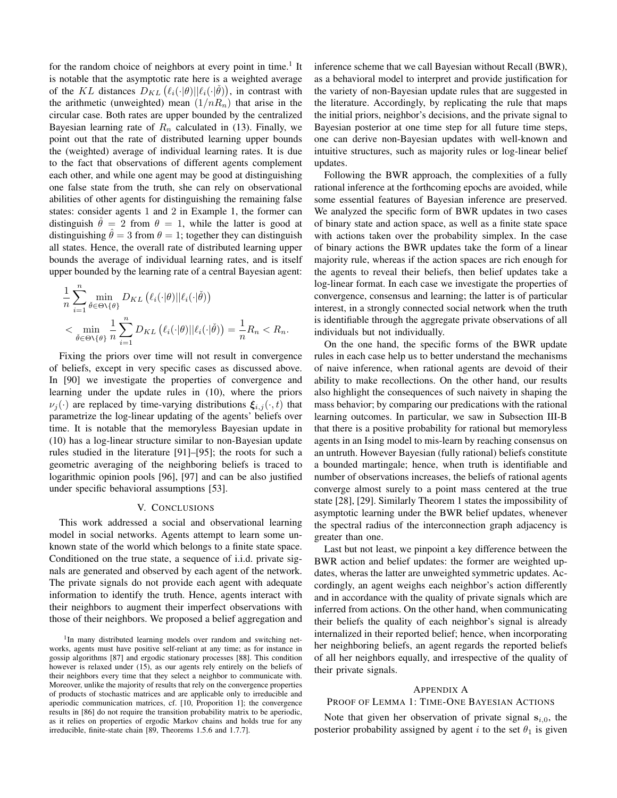for the random choice of neighbors at every point in time.<sup>1</sup> It is notable that the asymptotic rate here is a weighted average of the KL distances  $D_{KL}(\ell_i(\cdot|\theta)||\ell_i(\cdot|\check{\theta}))$ , in contrast with the arithmetic (unweighted) mean  $(1/nR_n)$  that arise in the circular case. Both rates are upper bounded by the centralized Bayesian learning rate of  $R_n$  calculated in (13). Finally, we point out that the rate of distributed learning upper bounds the (weighted) average of individual learning rates. It is due to the fact that observations of different agents complement each other, and while one agent may be good at distinguishing one false state from the truth, she can rely on observational abilities of other agents for distinguishing the remaining false states: consider agents 1 and 2 in Example 1, the former can distinguish  $\hat{\theta} = 2$  from  $\theta = 1$ , while the latter is good at distinguishing  $\theta = 3$  from  $\theta = 1$ ; together they can distinguish all states. Hence, the overall rate of distributed learning upper bounds the average of individual learning rates, and is itself upper bounded by the learning rate of a central Bayesian agent:

$$
\frac{1}{n} \sum_{i=1}^{n} \min_{\check{\theta} \in \Theta \setminus \{\theta\}} D_{KL}(\ell_i(\cdot|\theta) || \ell_i(\cdot|\check{\theta}))
$$
\n
$$
< \min_{\check{\theta} \in \Theta \setminus \{\theta\}} \frac{1}{n} \sum_{i=1}^{n} D_{KL}(\ell_i(\cdot|\theta) || \ell_i(\cdot|\check{\theta})) = \frac{1}{n} R_n < R_n.
$$

Fixing the priors over time will not result in convergence of beliefs, except in very specific cases as discussed above. In [90] we investigate the properties of convergence and learning under the update rules in (10), where the priors  $\nu_i(\cdot)$  are replaced by time-varying distributions  $\xi_{i,j}(\cdot,t)$  that parametrize the log-linear updating of the agents' beliefs over time. It is notable that the memoryless Bayesian update in (10) has a log-linear structure similar to non-Bayesian update rules studied in the literature [91]–[95]; the roots for such a geometric averaging of the neighboring beliefs is traced to logarithmic opinion pools [96], [97] and can be also justified under specific behavioral assumptions [53].

#### V. CONCLUSIONS

This work addressed a social and observational learning model in social networks. Agents attempt to learn some unknown state of the world which belongs to a finite state space. Conditioned on the true state, a sequence of i.i.d. private signals are generated and observed by each agent of the network. The private signals do not provide each agent with adequate information to identify the truth. Hence, agents interact with their neighbors to augment their imperfect observations with those of their neighbors. We proposed a belief aggregation and inference scheme that we call Bayesian without Recall (BWR), as a behavioral model to interpret and provide justification for the variety of non-Bayesian update rules that are suggested in the literature. Accordingly, by replicating the rule that maps the initial priors, neighbor's decisions, and the private signal to Bayesian posterior at one time step for all future time steps, one can derive non-Bayesian updates with well-known and intuitive structures, such as majority rules or log-linear belief updates.

Following the BWR approach, the complexities of a fully rational inference at the forthcoming epochs are avoided, while some essential features of Bayesian inference are preserved. We analyzed the specific form of BWR updates in two cases of binary state and action space, as well as a finite state space with actions taken over the probability simplex. In the case of binary actions the BWR updates take the form of a linear majority rule, whereas if the action spaces are rich enough for the agents to reveal their beliefs, then belief updates take a log-linear format. In each case we investigate the properties of convergence, consensus and learning; the latter is of particular interest, in a strongly connected social network when the truth is identifiable through the aggregate private observations of all individuals but not individually.

On the one hand, the specific forms of the BWR update rules in each case help us to better understand the mechanisms of naive inference, when rational agents are devoid of their ability to make recollections. On the other hand, our results also highlight the consequences of such naivety in shaping the mass behavior; by comparing our predications with the rational learning outcomes. In particular, we saw in Subsection III-B that there is a positive probability for rational but memoryless agents in an Ising model to mis-learn by reaching consensus on an untruth. However Bayesian (fully rational) beliefs constitute a bounded martingale; hence, when truth is identifiable and number of observations increases, the beliefs of rational agents converge almost surely to a point mass centered at the true state [28], [29]. Similarly Theorem 1 states the impossibility of asymptotic learning under the BWR belief updates, whenever the spectral radius of the interconnection graph adjacency is greater than one.

Last but not least, we pinpoint a key difference between the BWR action and belief updates: the former are weighted updates, wheras the latter are unweighted symmetric updates. Accordingly, an agent weighs each neighbor's action differently and in accordance with the quality of private signals which are inferred from actions. On the other hand, when communicating their beliefs the quality of each neighbor's signal is already internalized in their reported belief; hence, when incorporating her neighboring beliefs, an agent regards the reported beliefs of all her neighbors equally, and irrespective of the quality of their private signals.

#### APPENDIX A

## PROOF OF LEMMA 1: TIME-ONE BAYESIAN ACTIONS

Note that given her observation of private signal  $s_{i,0}$ , the posterior probability assigned by agent i to the set  $\theta_1$  is given

<sup>&</sup>lt;sup>1</sup>In many distributed learning models over random and switching networks, agents must have positive self-reliant at any time; as for instance in gossip algorithms [87] and ergodic stationary processes [88]. This condition however is relaxed under (15), as our agents rely entirely on the beliefs of their neighbors every time that they select a neighbor to communicate with. Moreover, unlike the majority of results that rely on the convergence properties of products of stochastic matrices and are applicable only to irreducible and aperiodic communication matrices, cf. [10, Proporition 1]; the convergence results in [86] do not require the transition probability matrix to be aperiodic, as it relies on properties of ergodic Markov chains and holds true for any irreducible, finite-state chain [89, Theorems 1.5.6 and 1.7.7].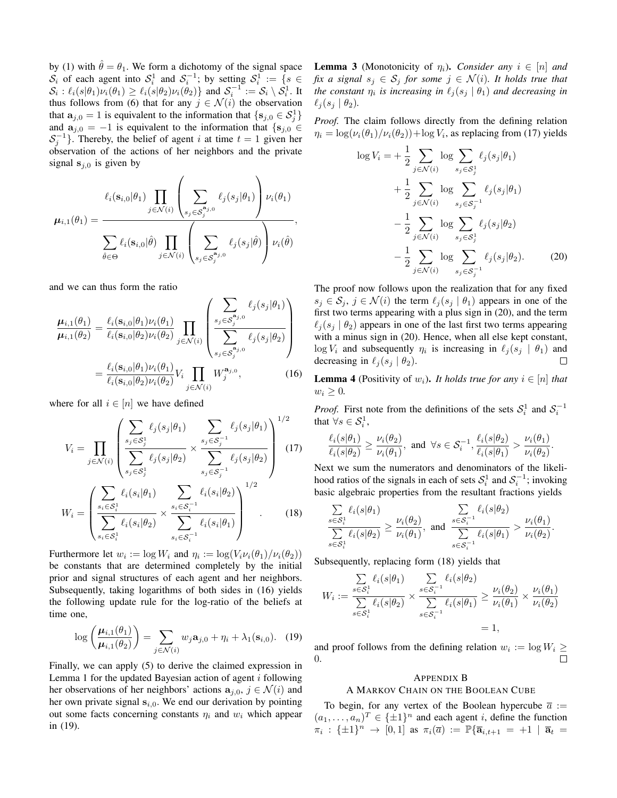by (1) with  $\hat{\theta} = \theta_1$ . We form a dichotomy of the signal space  $S_i$  of each agent into  $S_i^1$  and  $S_i^{-1}$ ; by setting  $S_i^1 := \{s \in$  $S_i: \ell_i(s|\theta_1)\nu_i(\theta_1) \geq \ell_i(s|\theta_2)\nu_i(\theta_2) \}$  and  $S_i^{-1} := S_i \setminus S_i^1$ . It thus follows from (6) that for any  $j \in \mathcal{N}(i)$  the observation that  $\mathbf{a}_{j,0} = 1$  is equivalent to the information that  $\{\mathbf{s}_{j,0} \in S_j^1\}$ and  $a_{i,0} = -1$  is equivalent to the information that  $\{s_{i,0} \in$  $S_j^{-1}$ }. Thereby, the belief of agent i at time  $t = 1$  given her observation of the actions of her neighbors and the private signal  $s_{i,0}$  is given by

$$
\mu_{i,1}(\theta_1) = \frac{\ell_i(\mathbf{s}_{i,0}|\theta_1) \prod_{j \in \mathcal{N}(i)} \left(\sum_{s_j \in \mathcal{S}_j^{\mathbf{a}_{j,0}}} \ell_j(s_j|\theta_1)\right) \nu_i(\theta_1)}{\sum_{\hat{\theta} \in \Theta} \ell_i(\mathbf{s}_{i,0}|\hat{\theta}) \prod_{j \in \mathcal{N}(i)} \left(\sum_{s_j \in \mathcal{S}_j^{\mathbf{a}_{j,0}}} \ell_j(s_j|\hat{\theta})\right) \nu_i(\hat{\theta})},
$$

and we can thus form the ratio

$$
\frac{\mu_{i,1}(\theta_1)}{\mu_{i,1}(\theta_2)} = \frac{\ell_i(\mathbf{s}_{i,0}|\theta_1)\nu_i(\theta_1)}{\ell_i(\mathbf{s}_{i,0}|\theta_2)\nu_i(\theta_2)} \prod_{j \in \mathcal{N}(i)} \left( \frac{\sum_{s_j \in \mathcal{S}_j^{a_{j,0}}} \ell_j(s_j|\theta_1)}{\sum_{s_j \in \mathcal{S}_j^{a_{j,0}}} \ell_j(s_j|\theta_2)} \right)
$$
\n
$$
= \frac{\ell_i(\mathbf{s}_{i,0}|\theta_1)\nu_i(\theta_1)}{\ell_i(\mathbf{s}_{i,0}|\theta_2)\nu_i(\theta_2)} V_i \prod_{j \in \mathcal{N}(i)} W_j^{a_{j,0}}, \qquad (16)
$$

where for all  $i \in [n]$  we have defined

$$
V_i = \prod_{j \in \mathcal{N}(i)} \left( \frac{\sum_{s_j \in \mathcal{S}_j^1} \ell_j(s_j|\theta_1)}{\sum_{s_j \in \mathcal{S}_j^1} \ell_j(s_j|\theta_2)} \times \frac{\sum_{s_j \in \mathcal{S}_j^{-1}} \ell_j(s_j|\theta_1)}{\sum_{s_j \in \mathcal{S}_j^{-1}} \ell_j(s_j|\theta_2)} \right)^{1/2}
$$
\n
$$
(\sum_{s_j \in \mathcal{S}_j^1} \ell_i(s_i|\theta_1) \sum_{s_j \in \mathcal{S}_j^{-1}} \ell_i(s_i|\theta_2))^{1/2}
$$

$$
W_i = \left(\frac{\sum_{s_i \in \mathcal{S}_i^1} \ell_i(s_i|\theta_1)}{\sum_{s_i \in \mathcal{S}_i^1} \ell_i(s_i|\theta_2)} \times \frac{\sum_{s_i \in \mathcal{S}_i^{-1}} \ell_i(s_i|\theta_2)}{\sum_{s_i \in \mathcal{S}_i^{-1}} \ell_i(s_i|\theta_1)}\right) \quad . \tag{18}
$$

Furthermore let  $w_i := \log W_i$  and  $\eta_i := \log (V_i \nu_i(\theta_1) / \nu_i(\theta_2))$ be constants that are determined completely by the initial prior and signal structures of each agent and her neighbors. Subsequently, taking logarithms of both sides in (16) yields the following update rule for the log-ratio of the beliefs at time one,

$$
\log\left(\frac{\boldsymbol{\mu}_{i,1}(\theta_1)}{\boldsymbol{\mu}_{i,1}(\theta_2)}\right) = \sum_{j \in \mathcal{N}(i)} w_j \mathbf{a}_{j,0} + \eta_i + \lambda_1(\mathbf{s}_{i,0}). \quad (19)
$$

Finally, we can apply (5) to derive the claimed expression in Lemma 1 for the updated Bayesian action of agent  $i$  following her observations of her neighbors' actions  $a_{i,0}$ ,  $j \in \mathcal{N}(i)$  and her own private signal  $s_{i,0}$ . We end our derivation by pointing out some facts concerning constants  $\eta_i$  and  $w_i$  which appear in (19).

**Lemma 3** (Monotonicity of  $\eta_i$ ). *Consider any*  $i \in [n]$  *and fix a signal*  $s_j \in S_j$  *for some*  $j \in \mathcal{N}(i)$ *. It holds true that the constant*  $\eta_i$  *is increasing in*  $\ell_j$  ( $s_j$  |  $\theta_1$ ) *and decreasing in*  $\ell_i (s_i | \theta_2)$ .

*Proof.* The claim follows directly from the defining relation  $\eta_i = \log(\nu_i(\theta_1)/\nu_i(\theta_2)) + \log V_i$ , as replacing from (17) yields

$$
\log V_i = +\frac{1}{2} \sum_{j \in \mathcal{N}(i)} \log \sum_{s_j \in \mathcal{S}_j^1} \ell_j(s_j|\theta_1)
$$
  
+ 
$$
\frac{1}{2} \sum_{j \in \mathcal{N}(i)} \log \sum_{s_j \in \mathcal{S}_j^{-1}} \ell_j(s_j|\theta_1)
$$
  
- 
$$
\frac{1}{2} \sum_{j \in \mathcal{N}(i)} \log \sum_{s_j \in \mathcal{S}_j^1} \ell_j(s_j|\theta_2)
$$
  
- 
$$
\frac{1}{2} \sum_{j \in \mathcal{N}(i)} \log \sum_{s_j \in \mathcal{S}_j^{-1}} \ell_j(s_j|\theta_2).
$$
 (20)

The proof now follows upon the realization that for any fixed  $s_j \in S_j$ ,  $j \in \mathcal{N}(i)$  the term  $\ell_j (s_j | \theta_1)$  appears in one of the first two terms appearing with a plus sign in (20), and the term  $\ell_i (s_i | \theta_2)$  appears in one of the last first two terms appearing with a minus sign in (20). Hence, when all else kept constant,  $log V_i$  and subsequently  $\eta_i$  is increasing in  $\ell_j (s_j \mid \theta_1)$  and decreasing in  $\ell_i (s_i | \theta_2)$ .

**Lemma 4** (Positivity of  $w_i$ ). *It holds true for any*  $i \in [n]$  *that*  $w_i \geq 0$ .

*Proof.* First note from the definitions of the sets  $S_i^1$  and  $S_i^{-1}$ that  $\forall s \in \mathcal{S}_i^1$ ,

$$
\frac{\ell_i(s|\theta_1)}{\ell_i(s|\theta_2)} \ge \frac{\nu_i(\theta_2)}{\nu_i(\theta_1)}, \text{ and } \forall s \in \mathcal{S}_i^{-1}, \frac{\ell_i(s|\theta_2)}{\ell_i(s|\theta_1)} > \frac{\nu_i(\theta_1)}{\nu_i(\theta_2)}.
$$

Next we sum the numerators and denominators of the likelihood ratios of the signals in each of sets  $S_i^1$  and  $S_i^{-1}$ ; invoking basic algebraic properties from the resultant fractions yields

$$
\frac{\sum\limits_{s \in \mathcal{S}_i^1} \ell_i(s|\theta_1)}{\sum\limits_{s \in \mathcal{S}_i^1} \ell_i(s|\theta_2)} \ge \frac{\nu_i(\theta_2)}{\nu_i(\theta_1)}, \text{ and } \frac{\sum\limits_{s \in \mathcal{S}_i^{-1}} \ell_i(s|\theta_2)}{\sum\limits_{s \in \mathcal{S}_i^{-1}} \ell_i(s|\theta_1)} > \frac{\nu_i(\theta_1)}{\nu_i(\theta_2)}.
$$

Subsequently, replacing form (18) yields that

$$
W_i := \frac{\sum\limits_{s \in \mathcal{S}_i^1} \ell_i(s|\theta_1)}{\sum\limits_{s \in \mathcal{S}_i^1} \ell_i(s|\theta_2)} \times \frac{\sum\limits_{s \in \mathcal{S}_i^{-1}} \ell_i(s|\theta_2)}{\sum\limits_{s \in \mathcal{S}_i^{-1}} \ell_i(s|\theta_1)} \ge \frac{\nu_i(\theta_2)}{\nu_i(\theta_1)} \times \frac{\nu_i(\theta_1)}{\nu_i(\theta_2)}
$$
  
= 1,

and proof follows from the defining relation  $w_i := \log W_i \geq$ 0.

## APPENDIX B

#### A MARKOV CHAIN ON THE BOOLEAN CUBE

To begin, for any vertex of the Boolean hypercube  $\bar{a}$  :=  $(a_1, \ldots, a_n)^T \in {\{\pm 1\}}^n$  and each agent *i*, define the function  $\pi_i : {\{\pm 1\}}^n \to [0,1]$  as  $\pi_i(\overline{a}) := \mathbb{P}\{\overline{\mathbf{a}}_{i,t+1} = +1 \mid \overline{\mathbf{a}}_t =$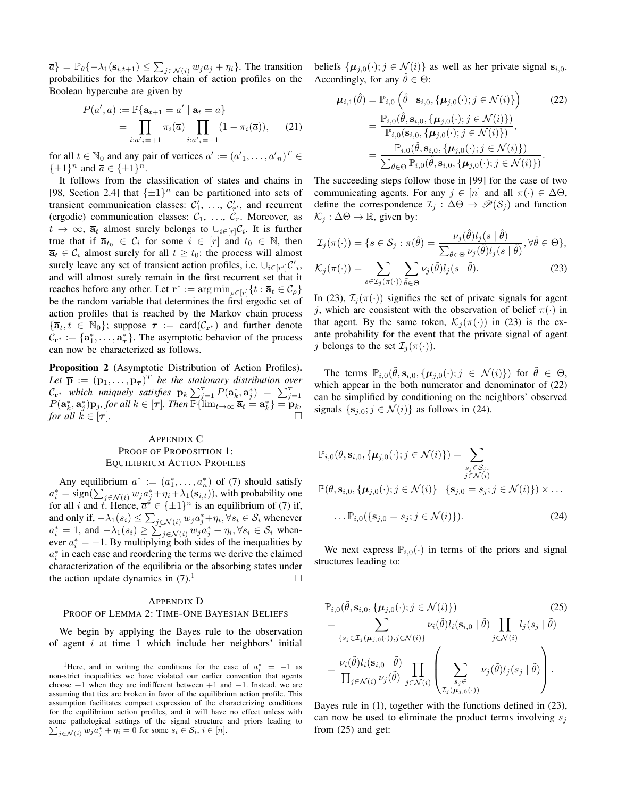$\overline{a}$ } =  $\mathbb{P}_{\theta}\{-\lambda_1(\mathbf{s}_{i,t+1}) \leq \sum_{j \in \mathcal{N}(i)} w_j a_j + \eta_i\}$ . The transition probabilities for the Markov chain of action profiles on the Boolean hypercube are given by

$$
P(\overline{a}', \overline{a}) := \mathbb{P}\{\overline{\mathbf{a}}_{t+1} = \overline{a}' \mid \overline{\mathbf{a}}_t = \overline{a}\}
$$

$$
= \prod_{i:a':=+1} \pi_i(\overline{a}) \prod_{i:a':=-1} (1 - \pi_i(\overline{a})), \qquad (21)
$$

for all  $t \in \mathbb{N}_0$  and any pair of vertices  $\overline{a}' := (a'_{1}, \ldots, a'_{n})^T \in$  $\{\pm 1\}^n$  and  $\overline{a} \in {\{\pm 1\}^n}$ .

It follows from the classification of states and chains in [98, Section 2.4] that  $\{\pm 1\}^n$  can be partitioned into sets of transient communication classes:  $C'_1$ , ...,  $C'_{r'}$ , and recurrent (ergodic) communication classes:  $C_1$ , ...,  $C_r$ . Moreover, as  $t \to \infty$ ,  $\overline{a}_t$  almost surely belongs to  $\cup_{i \in [r]} C_i$ . It is further true that if  $\overline{a}_{t_0} \in C_i$  for some  $i \in [r]$  and  $t_0 \in \mathbb{N}$ , then  $\overline{a}_t \in C_i$  almost surely for all  $t \geq t_0$ : the process will almost surely leave any set of transient action profiles, i.e.  $\cup_{i \in [r']} \mathcal{C}'_i$ , and will almost surely remain in the first recurrent set that it reaches before any other. Let  $\mathbf{r}^* := \arg \min_{\rho \in [r]} \{t : \overline{\mathbf{a}}_t \in C_\rho\}$ be the random variable that determines the first ergodic set of action profiles that is reached by the Markov chain process  ${\overline{a}_t, t \in \mathbb{N}_0}$ ; suppose  $\tau := \text{card}(\mathcal{C}_{r^*})$  and further denote  $\mathcal{C}_{\mathbf{r}^*} := {\mathbf{a}^*_1, \dots, \mathbf{a}^*_\tau}$ . The asymptotic behavior of the process can now be characterized as follows.

Proposition 2 (Asymptotic Distribution of Action Profiles). Let  $\bar{\mathbf{p}} := (\mathbf{p}_1, \dots, \mathbf{p}_{\bm{\tau}})^T$  be the stationary distribution over  $\mathcal{C}_{\mathbf{r}^*}$  *which uniquely satisfies*  $\mathbf{p}_k \sum_{j=1}^{\tau} P(\mathbf{a}_k^*, \mathbf{a}_j^*) = \sum_{j=1}^{\tau} P(\mathbf{a}_k^*, \mathbf{a}_j^*) = \mathbf{p}_{j=1}$ <br>  $P(\mathbf{a}_k^*, \mathbf{a}_j^*) \mathbf{p}_j$ , for all  $k \in [\tau]$ . Then  $\mathbb{P}\{\lim_{t \to \infty} \bar{\mathbf{a}}_t = \mathbf{a}_k^*\} = \$ *for all*  $\check{k} \in [\tau]$ *.* 

# APPENDIX C PROOF OF PROPOSITION 1: EQUILIBRIUM ACTION PROFILES

Any equilibrium  $\bar{a}^* := (a_1^*, \dots, a_n^*)$  of (7) should satisfy  $a_i^* = \text{sign}(\sum_{j \in \mathcal{N}(i)} w_j a_j^* + \eta_i + \lambda_1(\mathbf{s}_{i,t}))$ , with probability one for all i and i. Hence,  $\overline{a}^* \in {\pm 1}^n$  is an equilibrium of (7) if, and only if,  $-\lambda_1(s_i) \le \sum_{j \in \mathcal{N}(i)} w_j a_j^* + \eta_i, \forall s_i \in \mathcal{S}_i$  whenever  $a_i^* = 1$ , and  $-\lambda_1(s_i) \ge \sum_{j \in \mathcal{N}(i)} w_j a_j^* + \eta_i, \forall s_i \in \mathcal{S}_i$  whenever  $a_i^* = -1$ . By multiplying both sides of the inequalities by  $a_i^*$  in each case and reordering the terms we derive the claimed characterization of the equilibria or the absorbing states under the action update dynamics in  $(7).$ <sup>1</sup>

#### APPENDIX D

## PROOF OF LEMMA 2: TIME-ONE BAYESIAN BELIEFS

We begin by applying the Bayes rule to the observation of agent  $i$  at time 1 which include her neighbors' initial beliefs  $\{\boldsymbol{\mu}_{j,0}(\cdot); j \in \mathcal{N}(i)\}\$ as well as her private signal  $\mathbf{s}_{i,0}$ . Accordingly, for any  $\hat{\theta} \in \Theta$ :

$$
\mu_{i,1}(\hat{\theta}) = \mathbb{P}_{i,0} \left( \hat{\theta} \mid \mathbf{s}_{i,0}, \{ \mu_{j,0}(\cdot); j \in \mathcal{N}(i) \} \right) \tag{22}
$$
\n
$$
= \frac{\mathbb{P}_{i,0}(\hat{\theta}, \mathbf{s}_{i,0}, \{ \mu_{j,0}(\cdot); j \in \mathcal{N}(i) \})}{\mathbb{P}_{i,0}(\mathbf{s}_{i,0}, \{ \mu_{j,0}(\cdot); j \in \mathcal{N}(i) \})},
$$
\n
$$
= \frac{\mathbb{P}_{i,0}(\hat{\theta}, \mathbf{s}_{i,0}, \{ \mu_{j,0}(\cdot); j \in \mathcal{N}(i) \})}{\sum_{\tilde{\theta} \in \Theta} \mathbb{P}_{i,0}(\tilde{\theta}, \mathbf{s}_{i,0}, \{ \mu_{j,0}(\cdot); j \in \mathcal{N}(i) \})}.
$$

The succeeding steps follow those in [99] for the case of two communicating agents. For any  $j \in [n]$  and all  $\pi(\cdot) \in \Delta\Theta$ , define the correspondence  $\mathcal{I}_j : \Delta \Theta \rightarrow \mathcal{P}(\mathcal{S}_j)$  and function  $\mathcal{K}_i : \Delta \Theta \rightarrow \mathbb{R}$ , given by:

$$
\mathcal{I}_j(\pi(\cdot)) = \{ s \in \mathcal{S}_j : \pi(\hat{\theta}) = \frac{\nu_j(\hat{\theta})l_j(s \mid \hat{\theta})}{\sum_{\tilde{\theta} \in \Theta} \nu_j(\tilde{\theta})l_j(s \mid \tilde{\theta})}, \forall \hat{\theta} \in \Theta \},\
$$

$$
\mathcal{K}_{j}(\pi(\cdot)) = \sum_{s \in \mathcal{I}_{j}(\pi(\cdot))} \sum_{\tilde{\theta} \in \Theta} \nu_{j}(\tilde{\theta}) l_{j}(s \mid \tilde{\theta}). \tag{23}
$$

In (23),  $\mathcal{I}_j(\pi(\cdot))$  signifies the set of private signals for agent j, which are consistent with the observation of belief  $\pi(\cdot)$  in that agent. By the same token,  $\mathcal{K}_i(\pi(\cdot))$  in (23) is the exante probability for the event that the private signal of agent j belongs to the set  $\mathcal{I}_i(\pi(\cdot))$ .

The terms  $\mathbb{P}_{i,0}(\tilde{\theta}, \mathbf{s}_{i,0}, {\mu_{j,0}(\cdot)}; j \in \mathcal{N}(i) )$  for  $\tilde{\theta} \in \Theta$ , which appear in the both numerator and denominator of (22) can be simplified by conditioning on the neighbors' observed signals  $\{s_{j,0}; j \in \mathcal{N}(i)\}\$ as follows in (24).

$$
\mathbb{P}_{i,0}(\theta, \mathbf{s}_{i,0}, \{\boldsymbol{\mu}_{j,0}(\cdot); j \in \mathcal{N}(i)\}) = \sum_{\substack{s_j \in \mathcal{S}_j, j \in \mathcal{N}(i) \\ j \in \mathcal{N}(i)}} \mathbb{P}(\theta, \mathbf{s}_{i,0}, \{\boldsymbol{\mu}_{j,0}(\cdot); j \in \mathcal{N}(i)\} \mid {\{\mathbf{s}_{j,0} = s_j; j \in \mathcal{N}(i)\}}) \times \dots \dots \dots \mathbb{P}_{i,0}({\{\mathbf{s}_{j,0} = s_j; j \in \mathcal{N}(i)\}}). \tag{24}
$$

We next express  $\mathbb{P}_{i,0}(\cdot)$  in terms of the priors and signal structures leading to:

$$
\mathbb{P}_{i,0}(\tilde{\theta}, \mathbf{s}_{i,0}, \{\boldsymbol{\mu}_{j,0}(\cdot); j \in \mathcal{N}(i)\})
$$
\n
$$
= \sum_{\{s_j \in \mathcal{I}_j(\boldsymbol{\mu}_{j,0}(\cdot)), j \in \mathcal{N}(i)\}} \nu_i(\tilde{\theta}) l_i(\mathbf{s}_{i,0} \mid \tilde{\theta}) \prod_{j \in \mathcal{N}(i)} l_j(s_j \mid \tilde{\theta})
$$
\n
$$
= \frac{\nu_i(\tilde{\theta}) l_i(\mathbf{s}_{i,0} \mid \tilde{\theta})}{\prod_{j \in \mathcal{N}(i)} \nu_j(\tilde{\theta})} \prod_{j \in \mathcal{N}(i)} \left( \sum_{\substack{s_j \in \mathcal{N}(i) \\ \mathcal{I}_j(\boldsymbol{\mu}_{j,0}(\cdot))}} \nu_j(\tilde{\theta}) l_j(s_j \mid \tilde{\theta}) \right).
$$
\n(25)

Bayes rule in (1), together with the functions defined in (23), can now be used to eliminate the product terms involving  $s_i$ from (25) and get:

<sup>&</sup>lt;sup>1</sup>Here, and in writing the conditions for the case of  $a_i^* = -1$  as non-strict inequalities we have violated our earlier convention that agents choose  $+1$  when they are indifferent between  $+1$  and  $-1$ . Instead, we are assuming that ties are broken in favor of the equilibrium action profile. This assumption facilitates compact expression of the characterizing conditions for the equilibrium action profiles, and it will have no effect unless with some pathological settings of the signal structure and priors leading to  $\sum_{j \in \mathcal{N}(i)} w_j a_j^* + \eta_i = 0$  for some  $s_i \in \mathcal{S}_i, i \in [n]$ .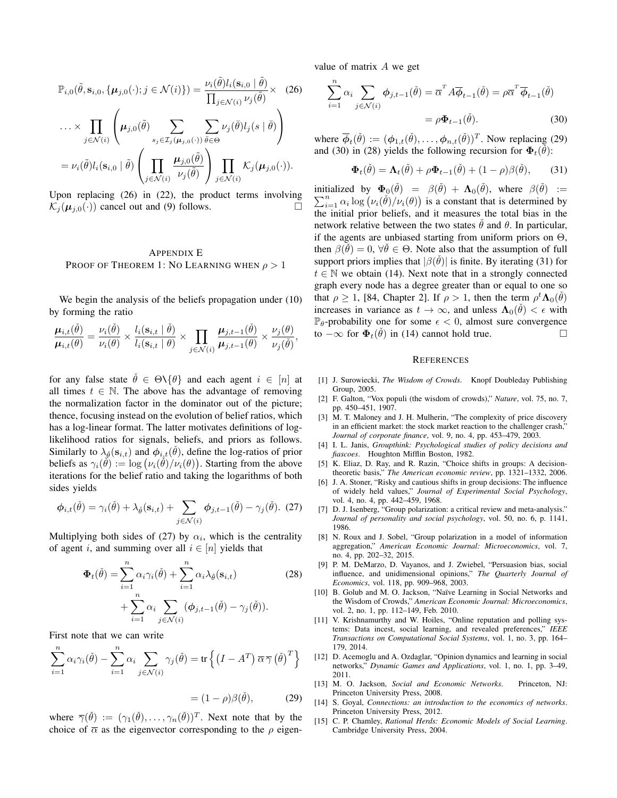$$
\mathbb{P}_{i,0}(\tilde{\theta}, \mathbf{s}_{i,0}, \{\boldsymbol{\mu}_{j,0}(\cdot); j \in \mathcal{N}(i)\}) = \frac{\nu_i(\tilde{\theta})l_i(\mathbf{s}_{i,0} | \tilde{\theta})}{\prod_{j \in \mathcal{N}(i)} \nu_j(\tilde{\theta})} \times (26)
$$

$$
\dots \times \prod_{j \in \mathcal{N}(i)} \left(\boldsymbol{\mu}_{j,0}(\tilde{\theta}) \sum_{s_j \in \mathcal{I}_j(\boldsymbol{\mu}_{j,0}(\cdot))} \sum_{\tilde{\theta} \in \Theta} \nu_j(\tilde{\theta})l_j(s | \tilde{\theta})\right)
$$

$$
= \nu_i(\tilde{\theta})l_i(\mathbf{s}_{i,0} | \tilde{\theta}) \left(\prod_{j \in \mathcal{N}(i)} \frac{\boldsymbol{\mu}_{j,0}(\tilde{\theta})}{\nu_j(\tilde{\theta})}\right) \prod_{j \in \mathcal{N}(i)} \mathcal{K}_j(\boldsymbol{\mu}_{j,0}(\cdot)).
$$

Upon replacing (26) in (22), the product terms involving  $\mathcal{K}_i(\boldsymbol{\mu}_{i,0}(\cdot))$  cancel out and (9) follows.

## APPENDIX E PROOF OF THEOREM 1: NO LEARNING WHEN  $\rho > 1$

We begin the analysis of the beliefs propagation under (10) by forming the ratio

$$
\frac{\boldsymbol{\mu}_{i,t}(\check{\theta})}{\boldsymbol{\mu}_{i,t}(\theta)} = \frac{\nu_i(\check{\theta})}{\nu_i(\theta)} \times \frac{l_i(\mathbf{s}_{i,t} \mid \check{\theta})}{l_i(\mathbf{s}_{i,t} \mid \theta)} \times \prod_{j \in \mathcal{N}(i)} \frac{\boldsymbol{\mu}_{j,t-1}(\check{\theta})}{\boldsymbol{\mu}_{j,t-1}(\theta)} \times \frac{\nu_j(\theta)}{\nu_j(\check{\theta})},
$$

for any false state  $\hat{\theta} \in \Theta \setminus \{\theta\}$  and each agent  $i \in [n]$  at all times  $t \in \mathbb{N}$ . The above has the advantage of removing the normalization factor in the dominator out of the picture; thence, focusing instead on the evolution of belief ratios, which has a log-linear format. The latter motivates definitions of loglikelihood ratios for signals, beliefs, and priors as follows. Similarly to  $\lambda_{\check{\theta}}(\mathbf{s}_{i,t})$  and  $\phi_{i,t}(\check{\theta})$ , define the log-ratios of prior beliefs as  $\gamma_i(\check{\theta}) := \log (\nu_i(\check{\theta})/\nu_i(\theta))$ . Starting from the above iterations for the belief ratio and taking the logarithms of both sides yields

$$
\phi_{i,t}(\check{\theta}) = \gamma_i(\check{\theta}) + \lambda_{\check{\theta}}(\mathbf{s}_{i,t}) + \sum_{j \in \mathcal{N}(i)} \phi_{j,t-1}(\check{\theta}) - \gamma_j(\check{\theta}). \tag{27}
$$

Multiplying both sides of (27) by  $\alpha_i$ , which is the centrality of agent i, and summing over all  $i \in [n]$  yields that

$$
\Phi_t(\check{\theta}) = \sum_{i=1}^n \alpha_i \gamma_i(\check{\theta}) + \sum_{i=1}^n \alpha_i \lambda_{\check{\theta}}(\mathbf{s}_{i,t})
$$
\n
$$
+ \sum_{i=1}^n \alpha_i \sum_{j \in \mathcal{N}(i)} (\phi_{j,t-1}(\check{\theta}) - \gamma_j(\check{\theta})).
$$
\n(28)

First note that we can write

$$
\sum_{i=1}^{n} \alpha_i \gamma_i(\check{\theta}) - \sum_{i=1}^{n} \alpha_i \sum_{j \in \mathcal{N}(i)} \gamma_j(\check{\theta}) = \text{tr}\left\{ \left(I - A^T\right) \overline{\alpha} \overline{\gamma} \left(\check{\theta}\right)^T \right\}
$$

$$
= (1 - \rho)\beta(\check{\theta}), \qquad (29)
$$

where  $\overline{\gamma}(\check{\theta}) := (\gamma_1(\check{\theta}), \dots, \gamma_n(\check{\theta}))^T$ . Next note that by the choice of  $\bar{\alpha}$  as the eigenvector corresponding to the  $\rho$  eigenvalue of matrix A we get

$$
\sum_{i=1}^{n} \alpha_i \sum_{j \in \mathcal{N}(i)} \phi_{j,t-1}(\check{\theta}) = \overline{\alpha}^T A \overline{\phi}_{t-1}(\check{\theta}) = \rho \overline{\alpha}^T \overline{\phi}_{t-1}(\check{\theta})
$$

$$
= \rho \Phi_{t-1}(\check{\theta}). \tag{30}
$$

where  $\overline{\phi}_t(\check{\theta}) := (\phi_{1,t}(\check{\theta}), \dots, \phi_{n,t}(\check{\theta}))^T$ . Now replacing (29) and (30) in (28) yields the following recursion for  $\Phi_t(\check{\theta})$ :

$$
\Phi_t(\check{\theta}) = \Lambda_t(\check{\theta}) + \rho \Phi_{t-1}(\check{\theta}) + (1 - \rho)\beta(\check{\theta}), \qquad (31)
$$

initialized by  $\Phi_0(\check{\theta}) = \beta(\check{\theta}) + \Lambda_0(\check{\theta})$ , where  $\beta(\check{\theta}) :=$  $\sum_{i=1}^{n} \alpha_i \log (\nu_i(\check{\theta})/\nu_i(\theta))$  is a constant that is determined by the initial prior beliefs, and it measures the total bias in the network relative between the two states  $\theta$  and  $\theta$ . In particular, if the agents are unbiased starting from uniform priors on  $\Theta$ , then  $\beta(\check{\theta}) = 0$ ,  $\forall \check{\theta} \in \Theta$ . Note also that the assumption of full support priors implies that  $|\beta(\check{\theta})|$  is finite. By iterating (31) for  $t \in \mathbb{N}$  we obtain (14). Next note that in a strongly connected graph every node has a degree greater than or equal to one so that  $\rho \ge 1$ , [84, Chapter 2]. If  $\rho > 1$ , then the term  $\rho^t \Lambda_0(\check{\theta})$ increases in variance as  $t \to \infty$ , and unless  $\Lambda_0(\check{\theta}) < \epsilon$  with  $\mathbb{P}_{\theta}$ -probability one for some  $\epsilon < 0$ , almost sure convergence to  $-\infty$  for  $\Phi_t(\check{\theta})$  in (14) cannot hold true.  $□$ 

## **REFERENCES**

- [1] J. Surowiecki, *The Wisdom of Crowds*. Knopf Doubleday Publishing Group, 2005.
- [2] F. Galton, "Vox populi (the wisdom of crowds)," *Nature*, vol. 75, no. 7, pp. 450–451, 1907.
- [3] M. T. Maloney and J. H. Mulherin, "The complexity of price discovery in an efficient market: the stock market reaction to the challenger crash," *Journal of corporate finance*, vol. 9, no. 4, pp. 453–479, 2003.
- [4] I. L. Janis, *Groupthink: Psychological studies of policy decisions and fiascoes*. Houghton Mifflin Boston, 1982.
- [5] K. Eliaz, D. Ray, and R. Razin, "Choice shifts in groups: A decisiontheoretic basis," *The American economic review*, pp. 1321–1332, 2006.
- [6] J. A. Stoner, "Risky and cautious shifts in group decisions: The influence of widely held values," *Journal of Experimental Social Psychology*, vol. 4, no. 4, pp. 442–459, 1968.
- [7] D. J. Isenberg, "Group polarization: a critical review and meta-analysis." *Journal of personality and social psychology*, vol. 50, no. 6, p. 1141, 1986.
- [8] N. Roux and J. Sobel, "Group polarization in a model of information aggregation," *American Economic Journal: Microeconomics*, vol. 7, no. 4, pp. 202–32, 2015.
- [9] P. M. DeMarzo, D. Vayanos, and J. Zwiebel, "Persuasion bias, social influence, and unidimensional opinions," *The Quarterly Journal of Economics*, vol. 118, pp. 909–968, 2003.
- [10] B. Golub and M. O. Jackson, "Naïve Learning in Social Networks and the Wisdom of Crowds," *American Economic Journal: Microeconomics*, vol. 2, no. 1, pp. 112–149, Feb. 2010.
- [11] V. Krishnamurthy and W. Hoiles, "Online reputation and polling systems: Data incest, social learning, and revealed preferences," *IEEE Transactions on Computational Social Systems*, vol. 1, no. 3, pp. 164– 179, 2014.
- [12] D. Acemoglu and A. Ozdaglar, "Opinion dynamics and learning in social networks," *Dynamic Games and Applications*, vol. 1, no. 1, pp. 3–49, 2011.
- [13] M. O. Jackson, *Social and Economic Networks*. Princeton, NJ: Princeton University Press, 2008.
- [14] S. Goyal, *Connections: an introduction to the economics of networks*. Princeton University Press, 2012.
- [15] C. P. Chamley, *Rational Herds: Economic Models of Social Learning*. Cambridge University Press, 2004.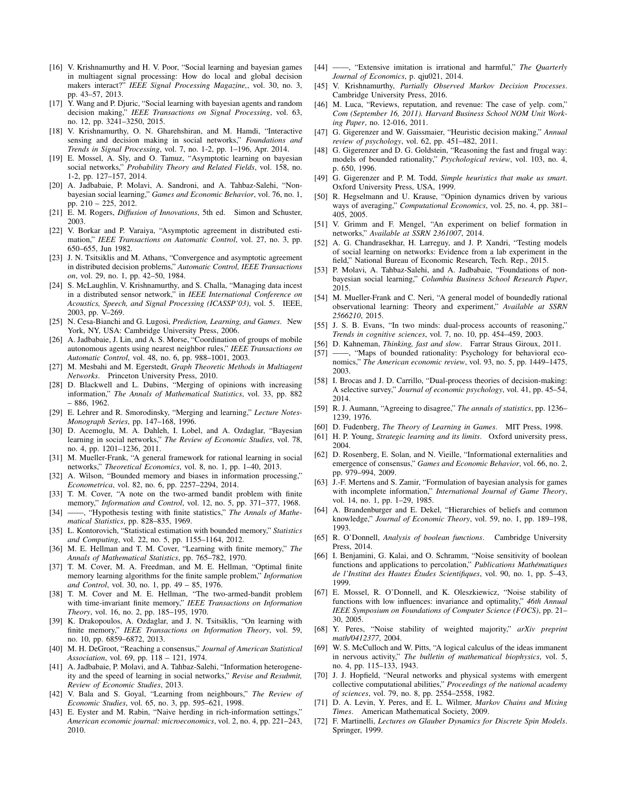- [16] V. Krishnamurthy and H. V. Poor, "Social learning and bayesian games in multiagent signal processing: How do local and global decision makers interact?" *IEEE Signal Processing Magazine,*, vol. 30, no. 3, pp. 43–57, 2013.
- [17] Y. Wang and P. Djuric, "Social learning with bayesian agents and random decision making," *IEEE Transactions on Signal Processing*, vol. 63, no. 12, pp. 3241–3250, 2015.
- [18] V. Krishnamurthy, O. N. Gharehshiran, and M. Hamdi, "Interactive sensing and decision making in social networks," *Foundations and Trends in Signal Processing*, vol. 7, no. 1-2, pp. 1–196, Apr. 2014.
- [19] E. Mossel, A. Sly, and O. Tamuz, "Asymptotic learning on bayesian social networks," *Probability Theory and Related Fields*, vol. 158, no. 1-2, pp. 127–157, 2014.
- [20] A. Jadbabaie, P. Molavi, A. Sandroni, and A. Tahbaz-Salehi, "Nonbayesian social learning," *Games and Economic Behavior*, vol. 76, no. 1, pp. 210 – 225, 2012.
- [21] E. M. Rogers, *Diffusion of Innovations*, 5th ed. Simon and Schuster, 2003.
- [22] V. Borkar and P. Varaiya, "Asymptotic agreement in distributed estimation," *IEEE Transactions on Automatic Control*, vol. 27, no. 3, pp. 650–655, Jun 1982.
- [23] J. N. Tsitsiklis and M. Athans, "Convergence and asymptotic agreement in distributed decision problems," *Automatic Control, IEEE Transactions on*, vol. 29, no. 1, pp. 42–50, 1984.
- [24] S. McLaughlin, V. Krishnamurthy, and S. Challa, "Managing data incest in a distributed sensor network," in *IEEE International Conference on Acoustics, Speech, and Signal Processing (ICASSP'03)*, vol. 5. IEEE, 2003, pp. V–269.
- [25] N. Cesa-Bianchi and G. Lugosi, *Prediction, Learning, and Games*. New York, NY, USA: Cambridge University Press, 2006.
- [26] A. Jadbabaie, J. Lin, and A. S. Morse, "Coordination of groups of mobile autonomous agents using nearest neighbor rules," *IEEE Transactions on Automatic Control*, vol. 48, no. 6, pp. 988–1001, 2003.
- [27] M. Mesbahi and M. Egerstedt, *Graph Theoretic Methods in Multiagent Networks*. Princeton University Press, 2010.
- [28] D. Blackwell and L. Dubins, "Merging of opinions with increasing information," *The Annals of Mathematical Statistics*, vol. 33, pp. 882 – 886, 1962.
- [29] E. Lehrer and R. Smorodinsky, "Merging and learning," *Lecture Notes-Monograph Series*, pp. 147–168, 1996.
- [30] D. Acemoglu, M. A. Dahleh, I. Lobel, and A. Ozdaglar, "Bayesian learning in social networks," *The Review of Economic Studies*, vol. 78, no. 4, pp. 1201–1236, 2011.
- [31] M. Mueller-Frank, "A general framework for rational learning in social networks," *Theoretical Economics*, vol. 8, no. 1, pp. 1–40, 2013.
- [32] A. Wilson, "Bounded memory and biases in information processing," *Econometrica*, vol. 82, no. 6, pp. 2257–2294, 2014.
- [33] T. M. Cover, "A note on the two-armed bandit problem with finite memory," *Information and Control*, vol. 12, no. 5, pp. 371–377, 1968.
- [34] ——, "Hypothesis testing with finite statistics," *The Annals of Mathematical Statistics*, pp. 828–835, 1969.
- [35] L. Kontorovich, "Statistical estimation with bounded memory," *Statistics and Computing*, vol. 22, no. 5, pp. 1155–1164, 2012.
- [36] M. E. Hellman and T. M. Cover, "Learning with finite memory," *The Annals of Mathematical Statistics*, pp. 765–782, 1970.
- [37] T. M. Cover, M. A. Freedman, and M. E. Hellman, "Optimal finite memory learning algorithms for the finite sample problem," *Information and Control*, vol. 30, no. 1, pp. 49 – 85, 1976.
- [38] T. M. Cover and M. E. Hellman, "The two-armed-bandit problem with time-invariant finite memory," *IEEE Transactions on Information Theory*, vol. 16, no. 2, pp. 185–195, 1970.
- [39] K. Drakopoulos, A. Ozdaglar, and J. N. Tsitsiklis, "On learning with finite memory," *IEEE Transactions on Information Theory*, vol. 59, no. 10, pp. 6859–6872, 2013.
- [40] M. H. DeGroot, "Reaching a consensus," *Journal of American Statistical Association*, vol. 69, pp. 118 – 121, 1974.
- [41] A. Jadbabaie, P. Molavi, and A. Tahbaz-Salehi, "Information heterogeneity and the speed of learning in social networks," *Revise and Resubmit, Review of Economic Studies*, 2013.
- [42] V. Bala and S. Goyal, "Learning from neighbours," *The Review of Economic Studies*, vol. 65, no. 3, pp. 595–621, 1998.
- [43] E. Eyster and M. Rabin, "Naive herding in rich-information settings," *American economic journal: microeconomics*, vol. 2, no. 4, pp. 221–243, 2010.
- [44] ——, "Extensive imitation is irrational and harmful," *The Quarterly Journal of Economics*, p. qju021, 2014.
- [45] V. Krishnamurthy, *Partially Observed Markov Decision Processes*. Cambridge University Press, 2016.
- [46] M. Luca, "Reviews, reputation, and revenue: The case of yelp. com," *Com (September 16, 2011). Harvard Business School NOM Unit Working Paper*, no. 12-016, 2011.
- [47] G. Gigerenzer and W. Gaissmaier, "Heuristic decision making," *Annual review of psychology*, vol. 62, pp. 451–482, 2011.
- [48] G. Gigerenzer and D. G. Goldstein, "Reasoning the fast and frugal way: models of bounded rationality," *Psychological review*, vol. 103, no. 4, p. 650, 1996.
- [49] G. Gigerenzer and P. M. Todd, *Simple heuristics that make us smart*. Oxford University Press, USA, 1999.
- [50] R. Hegselmann and U. Krause, "Opinion dynamics driven by various ways of averaging," *Computational Economics*, vol. 25, no. 4, pp. 381– 405, 2005.
- [51] V. Grimm and F. Mengel, "An experiment on belief formation in networks," *Available at SSRN 2361007*, 2014.
- [52] A. G. Chandrasekhar, H. Larreguy, and J. P. Xandri, "Testing models of social learning on networks: Evidence from a lab experiment in the field," National Bureau of Economic Research, Tech. Rep., 2015.
- [53] P. Molavi, A. Tahbaz-Salehi, and A. Jadbabaie, "Foundations of nonbayesian social learning," *Columbia Business School Research Paper*, 2015.
- [54] M. Mueller-Frank and C. Neri, "A general model of boundedly rational observational learning: Theory and experiment," *Available at SSRN 2566210*, 2015.
- [55] J. S. B. Evans, "In two minds: dual-process accounts of reasoning," *Trends in cognitive sciences*, vol. 7, no. 10, pp. 454–459, 2003.
- [56] D. Kahneman, *Thinking, fast and slow*. Farrar Straus Giroux, 2011.
- [57] -, "Maps of bounded rationality: Psychology for behavioral economics," *The American economic review*, vol. 93, no. 5, pp. 1449–1475, 2003.
- [58] I. Brocas and J. D. Carrillo, "Dual-process theories of decision-making: A selective survey," *Journal of economic psychology*, vol. 41, pp. 45–54, 2014.
- [59] R. J. Aumann, "Agreeing to disagree," *The annals of statistics*, pp. 1236– 1239, 1976.
- [60] D. Fudenberg, *The Theory of Learning in Games*. MIT Press, 1998.
- [61] H. P. Young, *Strategic learning and its limits*. Oxford university press, 2004.
- [62] D. Rosenberg, E. Solan, and N. Vieille, "Informational externalities and emergence of consensus," *Games and Economic Behavior*, vol. 66, no. 2, pp. 979–994, 2009.
- [63] J.-F. Mertens and S. Zamir, "Formulation of bayesian analysis for games with incomplete information," *International Journal of Game Theory*, vol. 14, no. 1, pp. 1–29, 1985.
- [64] A. Brandenburger and E. Dekel, "Hierarchies of beliefs and common knowledge," *Journal of Economic Theory*, vol. 59, no. 1, pp. 189–198, 1993.
- [65] R. O'Donnell, *Analysis of boolean functions*. Cambridge University Press, 2014.
- [66] I. Benjamini, G. Kalai, and O. Schramm, "Noise sensitivity of boolean functions and applications to percolation," *Publications Mathematiques ´ de l'Institut des Hautes Etudes Scientifiques ´* , vol. 90, no. 1, pp. 5–43, 1999.
- [67] E. Mossel, R. O'Donnell, and K. Oleszkiewicz, "Noise stability of functions with low influences: invariance and optimality," *46th Annual IEEE Symposium on Foundations of Computer Science (FOCS)*, pp. 21– 30, 2005.
- [68] Y. Peres, "Noise stability of weighted majority," *arXiv preprint math/0412377*, 2004.
- [69] W. S. McCulloch and W. Pitts, "A logical calculus of the ideas immanent in nervous activity," *The bulletin of mathematical biophysics*, vol. 5, no. 4, pp. 115–133, 1943.
- [70] J. J. Hopfield, "Neural networks and physical systems with emergent collective computational abilities," *Proceedings of the national academy of sciences*, vol. 79, no. 8, pp. 2554–2558, 1982.
- [71] D. A. Levin, Y. Peres, and E. L. Wilmer, *Markov Chains and Mixing Times*. American Mathematical Society, 2009.
- [72] F. Martinelli, *Lectures on Glauber Dynamics for Discrete Spin Models*. Springer, 1999.